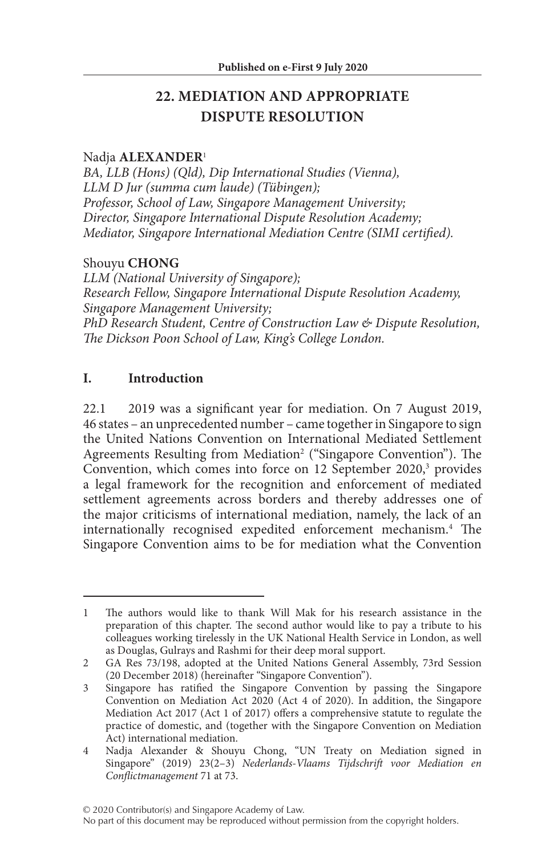# **22. MEDIATION AND APPROPRIATE DISPUTE RESOLUTION**

#### Nadja **ALEXANDER**<sup>1</sup>

*BA, LLB (Hons) (Qld), Dip International Studies (Vienna), LLM D Jur (summa cum laude) (Tübingen); Professor, School of Law, Singapore Management University; Director, Singapore International Dispute Resolution Academy; Mediator, Singapore International Mediation Centre (SIMI certified).*

### Shouyu **CHONG**

*LLM (National University of Singapore); Research Fellow, Singapore International Dispute Resolution Academy, Singapore Management University; PhD Research Student, Centre of Construction Law & Dispute Resolution, The Dickson Poon School of Law, King's College London.*

### **I. Introduction**

22.1 2019 was a significant year for mediation. On 7 August 2019, 46 states – an unprecedented number – came together in Singapore to sign the United Nations Convention on International Mediated Settlement Agreements Resulting from Mediation<sup>2</sup> ("Singapore Convention"). The Convention, which comes into force on 12 September 2020,<sup>3</sup> provides a legal framework for the recognition and enforcement of mediated settlement agreements across borders and thereby addresses one of the major criticisms of international mediation, namely, the lack of an internationally recognised expedited enforcement mechanism.4 The Singapore Convention aims to be for mediation what the Convention

<sup>1</sup> The authors would like to thank Will Mak for his research assistance in the preparation of this chapter. The second author would like to pay a tribute to his colleagues working tirelessly in the UK National Health Service in London, as well as Douglas, Gulrays and Rashmi for their deep moral support.

<sup>2</sup> GA Res 73/198, adopted at the United Nations General Assembly, 73rd Session (20 December 2018) (hereinafter "Singapore Convention").

<sup>3</sup> Singapore has ratified the Singapore Convention by passing the Singapore Convention on Mediation Act 2020 (Act 4 of 2020). In addition, the Singapore Mediation Act 2017 (Act 1 of 2017) offers a comprehensive statute to regulate the practice of domestic, and (together with the Singapore Convention on Mediation Act) international mediation.

<sup>4</sup> Nadja Alexander & Shouyu Chong, "UN Treaty on Mediation signed in Singapore" (2019) 23(2–3) *Nederlands-Vlaams Tijdschrift voor Mediation en Conflictmanagement* 71 at 73.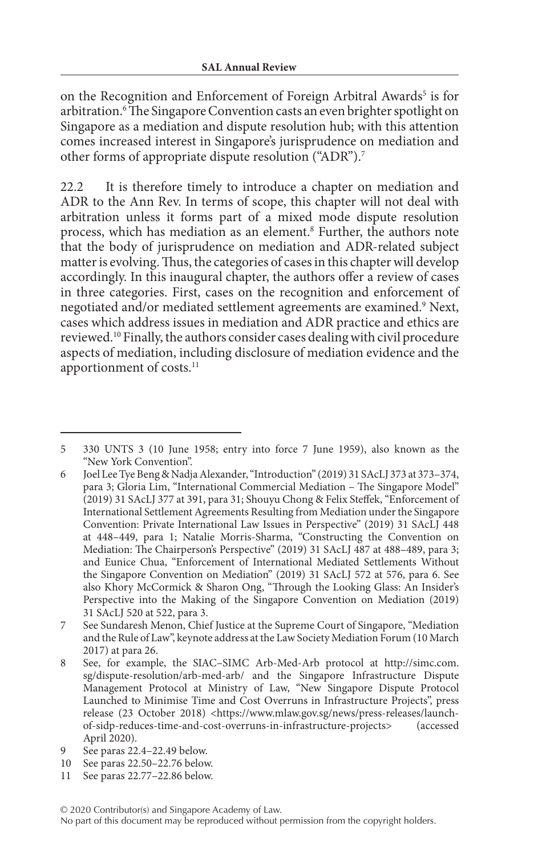on the Recognition and Enforcement of Foreign Arbitral Awards<sup>5</sup> is for arbitration.6 The Singapore Convention casts an even brighter spotlight on Singapore as a mediation and dispute resolution hub; with this attention comes increased interest in Singapore's jurisprudence on mediation and other forms of appropriate dispute resolution ("ADR").7

22.2 It is therefore timely to introduce a chapter on mediation and ADR to the Ann Rev. In terms of scope, this chapter will not deal with arbitration unless it forms part of a mixed mode dispute resolution process, which has mediation as an element.<sup>8</sup> Further, the authors note that the body of jurisprudence on mediation and ADR-related subject matter is evolving. Thus, the categories of cases in this chapter will develop accordingly. In this inaugural chapter, the authors offer a review of cases in three categories. First, cases on the recognition and enforcement of negotiated and/or mediated settlement agreements are examined.<sup>9</sup> Next, cases which address issues in mediation and ADR practice and ethics are reviewed.10 Finally, the authors consider cases dealing with civil procedure aspects of mediation, including disclosure of mediation evidence and the apportionment of costs.<sup>11</sup>

<sup>5</sup> 330 UNTS 3 (10 June 1958; entry into force 7 June 1959), also known as the "New York Convention".

<sup>6</sup> Joel Lee Tye Beng & Nadja Alexander, "Introduction" (2019) 31 SAcLJ 373 at 373–374, para 3; Gloria Lim, "International Commercial Mediation – The Singapore Model" (2019) 31 SAcLJ 377 at 391, para 31; Shouyu Chong & Felix Steffek, "Enforcement of International Settlement Agreements Resulting from Mediation under the Singapore Convention: Private International Law Issues in Perspective" (2019) 31 SAcLJ 448 at 448–449, para 1; Natalie Morris-Sharma, "Constructing the Convention on Mediation: The Chairperson's Perspective" (2019) 31 SAcLJ 487 at 488–489, para 3; and Eunice Chua, "Enforcement of International Mediated Settlements Without the Singapore Convention on Mediation" (2019) 31 SAcLJ 572 at 576, para 6. See also Khory McCormick & Sharon Ong, "Through the Looking Glass: An Insider's Perspective into the Making of the Singapore Convention on Mediation (2019) 31 SAcLJ 520 at 522, para 3.

<sup>7</sup> See Sundaresh Menon, Chief Justice at the Supreme Court of Singapore, "Mediation and the Rule of Law", keynote address at the Law Society Mediation Forum (10 March 2017) at para 26.

<sup>8</sup> See, for example, the SIAC–SIMC Arb-Med-Arb protocol at http://simc.com. sg/dispute-resolution/arb-med-arb/ and the Singapore Infrastructure Dispute Management Protocol at Ministry of Law, "New Singapore Dispute Protocol Launched to Minimise Time and Cost Overruns in Infrastructure Projects", press release (23 October 2018) <https://www.mlaw.gov.sg/news/press-releases/launchof-sidp-reduces-time-and-cost-overruns-in-infrastructure-projects> (accessed April 2020).

<sup>9</sup> See paras 22.4–22.49 below.

<sup>10</sup> See paras 22.50–22.76 below.

<sup>11</sup> See paras 22.77–22.86 below.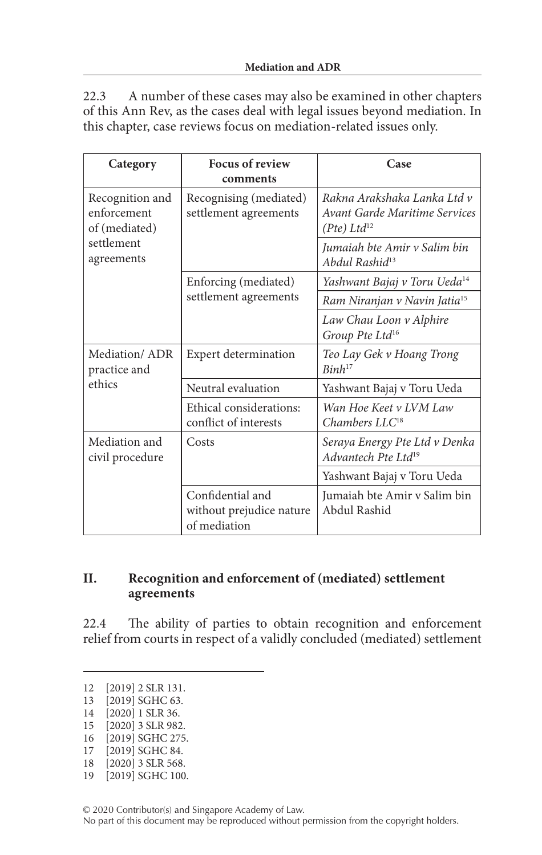22.3 A number of these cases may also be examined in other chapters of this Ann Rev, as the cases deal with legal issues beyond mediation. In this chapter, case reviews focus on mediation-related issues only.

| Category                                                                    | <b>Focus of review</b><br>comments                           | Case                                                                             |
|-----------------------------------------------------------------------------|--------------------------------------------------------------|----------------------------------------------------------------------------------|
| Recognition and<br>enforcement<br>of (mediated)<br>settlement<br>agreements | Recognising (mediated)<br>settlement agreements              | Rakna Arakshaka Lanka Ltd v<br>Avant Garde Maritime Services<br>$(Pte) Ltd^{12}$ |
|                                                                             |                                                              | Jumaiah bte Amir v Salim bin<br>Abdul Rashid <sup>13</sup>                       |
|                                                                             | Enforcing (mediated)<br>settlement agreements                | Yashwant Bajaj v Toru Ueda <sup>14</sup>                                         |
|                                                                             |                                                              | Ram Niranjan v Navin Jatia <sup>15</sup>                                         |
|                                                                             |                                                              | Law Chau Loon v Alphire<br>Group Pte Ltd <sup>16</sup>                           |
| Mediation/ADR<br>practice and                                               | <b>Expert determination</b>                                  | Teo Lay Gek v Hoang Trong<br>$Binh^{17}$                                         |
| ethics                                                                      | Neutral evaluation                                           | Yashwant Bajaj v Toru Ueda                                                       |
|                                                                             | Ethical considerations:<br>conflict of interests             | Wan Hoe Keet v LVM Law<br>Chambers LLC <sup>18</sup>                             |
| Mediation and<br>civil procedure                                            | Costs                                                        | Seraya Energy Pte Ltd v Denka<br>Advantech Pte Ltd <sup>19</sup>                 |
|                                                                             |                                                              | Yashwant Bajaj v Toru Ueda                                                       |
|                                                                             | Confidential and<br>without prejudice nature<br>of mediation | Jumaiah bte Amir v Salim bin<br>Abdul Rashid                                     |

### **II. Recognition and enforcement of (mediated) settlement agreements**

22.4 The ability of parties to obtain recognition and enforcement relief from courts in respect of a validly concluded (mediated) settlement

13 [2019] SGHC 63.

[2019] SGHC 84.

19 [2019] SGHC 100.

<sup>12</sup> [2019] 2 SLR 131.

<sup>14</sup> [2020] 1 SLR 36.

<sup>15</sup> [2020] 3 SLR 982.

<sup>16 [2019]</sup> SGHC 275.<br>17 [2019] SGHC 84.

<sup>18</sup> [2020] 3 SLR 568.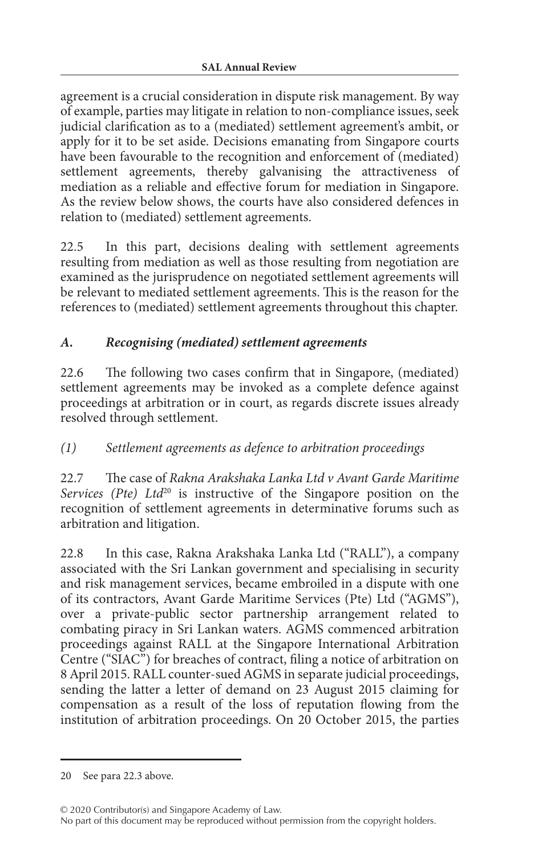agreement is a crucial consideration in dispute risk management. By way of example, parties may litigate in relation to non-compliance issues, seek judicial clarification as to a (mediated) settlement agreement's ambit, or apply for it to be set aside. Decisions emanating from Singapore courts have been favourable to the recognition and enforcement of (mediated) settlement agreements, thereby galvanising the attractiveness of mediation as a reliable and effective forum for mediation in Singapore. As the review below shows, the courts have also considered defences in relation to (mediated) settlement agreements.

22.5 In this part, decisions dealing with settlement agreements resulting from mediation as well as those resulting from negotiation are examined as the jurisprudence on negotiated settlement agreements will be relevant to mediated settlement agreements. This is the reason for the references to (mediated) settlement agreements throughout this chapter.

## *A. Recognising (mediated) settlement agreements*

22.6 The following two cases confirm that in Singapore, (mediated) settlement agreements may be invoked as a complete defence against proceedings at arbitration or in court, as regards discrete issues already resolved through settlement.

## *(1) Settlement agreements as defence to arbitration proceedings*

22.7 The case of *Rakna Arakshaka Lanka Ltd v Avant Garde Maritime Services (Pte) Ltd*<sup>20</sup> is instructive of the Singapore position on the recognition of settlement agreements in determinative forums such as arbitration and litigation.

22.8 In this case, Rakna Arakshaka Lanka Ltd ("RALL"), a company associated with the Sri Lankan government and specialising in security and risk management services, became embroiled in a dispute with one of its contractors, Avant Garde Maritime Services (Pte) Ltd ("AGMS"), over a private-public sector partnership arrangement related to combating piracy in Sri Lankan waters. AGMS commenced arbitration proceedings against RALL at the Singapore International Arbitration Centre ("SIAC") for breaches of contract, filing a notice of arbitration on 8 April 2015. RALL counter-sued AGMS in separate judicial proceedings, sending the latter a letter of demand on 23 August 2015 claiming for compensation as a result of the loss of reputation flowing from the institution of arbitration proceedings. On 20 October 2015, the parties

<sup>20</sup> See para 22.3 above.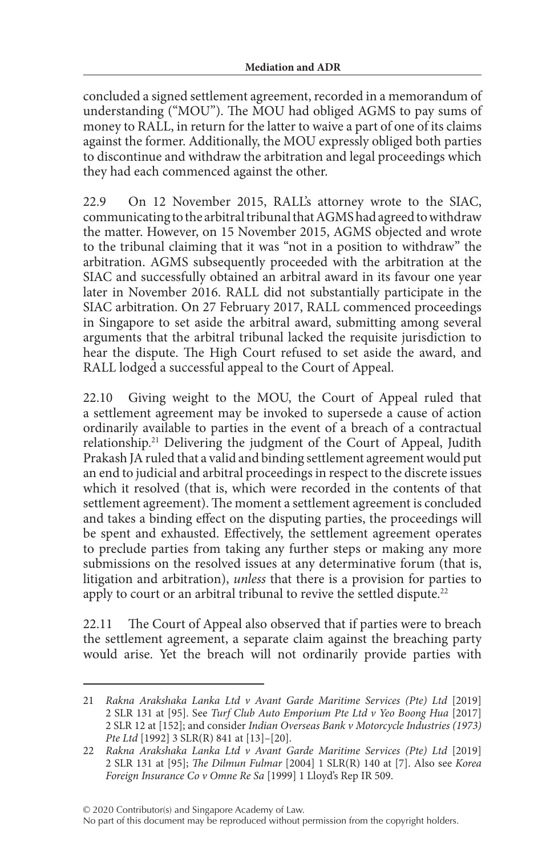concluded a signed settlement agreement, recorded in a memorandum of understanding ("MOU"). The MOU had obliged AGMS to pay sums of money to RALL, in return for the latter to waive a part of one of its claims against the former. Additionally, the MOU expressly obliged both parties to discontinue and withdraw the arbitration and legal proceedings which they had each commenced against the other.

22.9 On 12 November 2015, RALL's attorney wrote to the SIAC, communicating to the arbitral tribunal that AGMS had agreed to withdraw the matter. However, on 15 November 2015, AGMS objected and wrote to the tribunal claiming that it was "not in a position to withdraw" the arbitration. AGMS subsequently proceeded with the arbitration at the SIAC and successfully obtained an arbitral award in its favour one year later in November 2016. RALL did not substantially participate in the SIAC arbitration. On 27 February 2017, RALL commenced proceedings in Singapore to set aside the arbitral award, submitting among several arguments that the arbitral tribunal lacked the requisite jurisdiction to hear the dispute. The High Court refused to set aside the award, and RALL lodged a successful appeal to the Court of Appeal.

22.10 Giving weight to the MOU, the Court of Appeal ruled that a settlement agreement may be invoked to supersede a cause of action ordinarily available to parties in the event of a breach of a contractual relationship.21 Delivering the judgment of the Court of Appeal, Judith Prakash JA ruled that a valid and binding settlement agreement would put an end to judicial and arbitral proceedings in respect to the discrete issues which it resolved (that is, which were recorded in the contents of that settlement agreement). The moment a settlement agreement is concluded and takes a binding effect on the disputing parties, the proceedings will be spent and exhausted. Effectively, the settlement agreement operates to preclude parties from taking any further steps or making any more submissions on the resolved issues at any determinative forum (that is, litigation and arbitration), *unless* that there is a provision for parties to apply to court or an arbitral tribunal to revive the settled dispute.<sup>22</sup>

22.11 The Court of Appeal also observed that if parties were to breach the settlement agreement, a separate claim against the breaching party would arise. Yet the breach will not ordinarily provide parties with

© 2020 Contributor(s) and Singapore Academy of Law.

No part of this document may be reproduced without permission from the copyright holders.

<sup>21</sup> *Rakna Arakshaka Lanka Ltd v Avant Garde Maritime Services (Pte) Ltd* [2019] 2 SLR 131 at [95]. See *Turf Club Auto Emporium Pte Ltd v Yeo Boong Hua* [2017] 2 SLR 12 at [152]; and consider *Indian Overseas Bank v Motorcycle Industries (1973) Pte Ltd* [1992] 3 SLR(R) 841 at [13]-[20].

<sup>22</sup> *Rakna Arakshaka Lanka Ltd v Avant Garde Maritime Services (Pte) Ltd* [2019] 2 SLR 131 at [95]; *The Dilmun Fulmar* [2004] 1 SLR(R) 140 at [7]. Also see *Korea Foreign Insurance Co v Omne Re Sa* [1999] 1 Lloyd's Rep IR 509.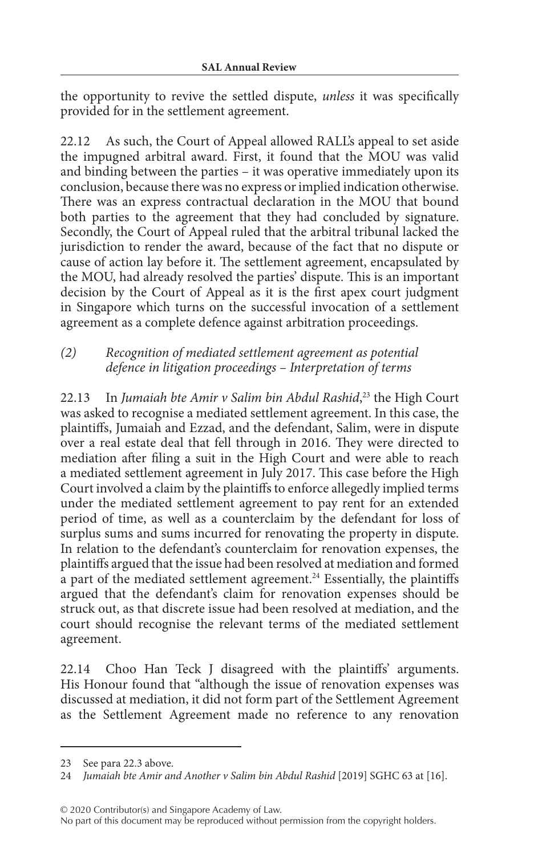the opportunity to revive the settled dispute, *unless* it was specifically provided for in the settlement agreement.

22.12 As such, the Court of Appeal allowed RALL's appeal to set aside the impugned arbitral award. First, it found that the MOU was valid and binding between the parties – it was operative immediately upon its conclusion, because there was no express or implied indication otherwise. There was an express contractual declaration in the MOU that bound both parties to the agreement that they had concluded by signature. Secondly, the Court of Appeal ruled that the arbitral tribunal lacked the jurisdiction to render the award, because of the fact that no dispute or cause of action lay before it. The settlement agreement, encapsulated by the MOU, had already resolved the parties' dispute. This is an important decision by the Court of Appeal as it is the first apex court judgment in Singapore which turns on the successful invocation of a settlement agreement as a complete defence against arbitration proceedings.

### *(2) Recognition of mediated settlement agreement as potential defence in litigation proceedings – Interpretation of terms*

22.13 In *Jumaiah bte Amir v Salim bin Abdul Rashid*, 23 the High Court was asked to recognise a mediated settlement agreement. In this case, the plaintiffs, Jumaiah and Ezzad, and the defendant, Salim, were in dispute over a real estate deal that fell through in 2016. They were directed to mediation after filing a suit in the High Court and were able to reach a mediated settlement agreement in July 2017. This case before the High Court involved a claim by the plaintiffs to enforce allegedly implied terms under the mediated settlement agreement to pay rent for an extended period of time, as well as a counterclaim by the defendant for loss of surplus sums and sums incurred for renovating the property in dispute. In relation to the defendant's counterclaim for renovation expenses, the plaintiffs argued that the issue had been resolved at mediation and formed  $\alpha$  part of the mediated settlement agreement.<sup>24</sup> Essentially, the plaintiffs argued that the defendant's claim for renovation expenses should be struck out, as that discrete issue had been resolved at mediation, and the court should recognise the relevant terms of the mediated settlement agreement.

22.14 Choo Han Teck J disagreed with the plaintiffs' arguments. His Honour found that "although the issue of renovation expenses was discussed at mediation, it did not form part of the Settlement Agreement as the Settlement Agreement made no reference to any renovation

© 2020 Contributor(s) and Singapore Academy of Law.

<sup>23</sup> See para 22.3 above.

<sup>24</sup> *Jumaiah bte Amir and Another v Salim bin Abdul Rashid* [2019] SGHC 63 at [16].

No part of this document may be reproduced without permission from the copyright holders.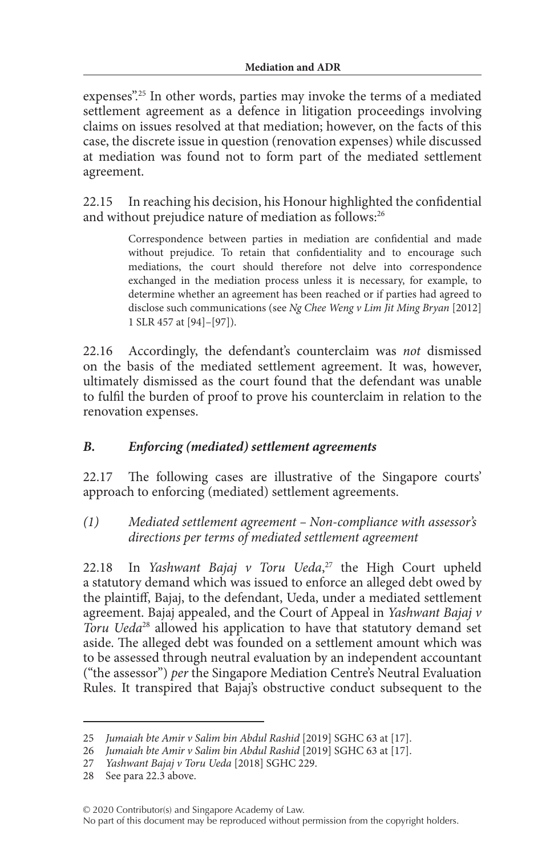expenses".25 In other words, parties may invoke the terms of a mediated settlement agreement as a defence in litigation proceedings involving claims on issues resolved at that mediation; however, on the facts of this case, the discrete issue in question (renovation expenses) while discussed at mediation was found not to form part of the mediated settlement agreement.

22.15 In reaching his decision, his Honour highlighted the confidential and without prejudice nature of mediation as follows:<sup>26</sup>

> Correspondence between parties in mediation are confidential and made without prejudice. To retain that confidentiality and to encourage such mediations, the court should therefore not delve into correspondence exchanged in the mediation process unless it is necessary, for example, to determine whether an agreement has been reached or if parties had agreed to disclose such communications (see *Ng Chee Weng v Lim Jit Ming Bryan* [2012] 1 SLR 457 at [94]–[97]).

22.16 Accordingly, the defendant's counterclaim was *not* dismissed on the basis of the mediated settlement agreement. It was, however, ultimately dismissed as the court found that the defendant was unable to fulfil the burden of proof to prove his counterclaim in relation to the renovation expenses.

### *B. Enforcing (mediated) settlement agreements*

22.17 The following cases are illustrative of the Singapore courts' approach to enforcing (mediated) settlement agreements.

*(1) Mediated settlement agreement – Non-compliance with assessor's directions per terms of mediated settlement agreement*

22.18 In *Yashwant Bajaj v Toru Ueda*,<sup>27</sup> the High Court upheld a statutory demand which was issued to enforce an alleged debt owed by the plaintiff, Bajaj, to the defendant, Ueda, under a mediated settlement agreement. Bajaj appealed, and the Court of Appeal in *Yashwant Bajaj v Toru Ueda*28 allowed his application to have that statutory demand set aside. The alleged debt was founded on a settlement amount which was to be assessed through neutral evaluation by an independent accountant ("the assessor") *per* the Singapore Mediation Centre's Neutral Evaluation Rules. It transpired that Bajaj's obstructive conduct subsequent to the

<sup>25</sup> *Jumaiah bte Amir v Salim bin Abdul Rashid* [2019] SGHC 63 at [17].

<sup>26</sup> *Jumaiah bte Amir v Salim bin Abdul Rashid* [2019] SGHC 63 at [17].

<sup>27</sup> *Yashwant Bajaj v Toru Ueda* [2018] SGHC 229.

<sup>28</sup> See para 22.3 above.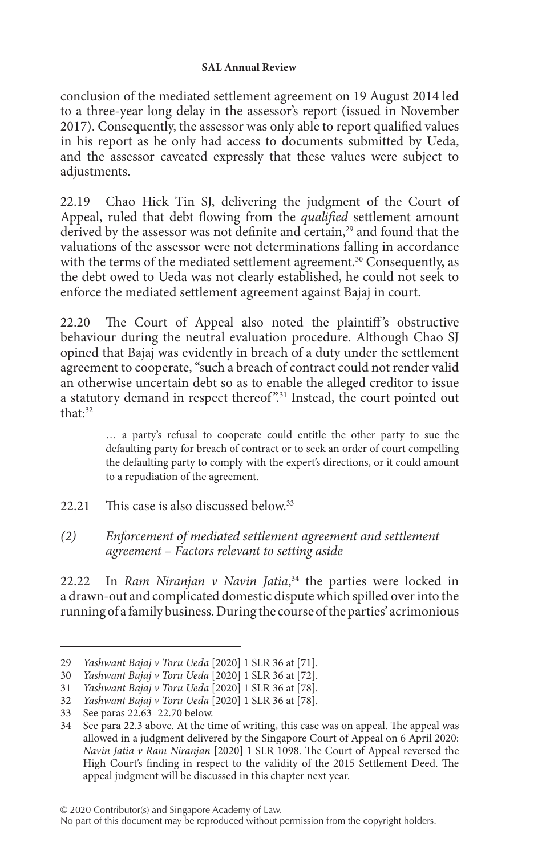conclusion of the mediated settlement agreement on 19 August 2014 led to a three-year long delay in the assessor's report (issued in November 2017). Consequently, the assessor was only able to report qualified values in his report as he only had access to documents submitted by Ueda, and the assessor caveated expressly that these values were subject to adjustments.

22.19 Chao Hick Tin SJ, delivering the judgment of the Court of Appeal, ruled that debt flowing from the *qualified* settlement amount derived by the assessor was not definite and certain,<sup>29</sup> and found that the valuations of the assessor were not determinations falling in accordance with the terms of the mediated settlement agreement.<sup>30</sup> Consequently, as the debt owed to Ueda was not clearly established, he could not seek to enforce the mediated settlement agreement against Bajaj in court.

22.20 The Court of Appeal also noted the plaintiff's obstructive behaviour during the neutral evaluation procedure. Although Chao SJ opined that Bajaj was evidently in breach of a duty under the settlement agreement to cooperate, "such a breach of contract could not render valid an otherwise uncertain debt so as to enable the alleged creditor to issue a statutory demand in respect thereof".<sup>31</sup> Instead, the court pointed out that:32

> … a party's refusal to cooperate could entitle the other party to sue the defaulting party for breach of contract or to seek an order of court compelling the defaulting party to comply with the expert's directions, or it could amount to a repudiation of the agreement.

22.21 This case is also discussed below.<sup>33</sup>

#### *(2) Enforcement of mediated settlement agreement and settlement agreement – Factors relevant to setting aside*

22.22 In *Ram Niranjan v Navin Jatia*, 34 the parties were locked in a drawn-out and complicated domestic dispute which spilled over into the running of a family business. During the course of the parties' acrimonious

© 2020 Contributor(s) and Singapore Academy of Law.

<sup>29</sup> *Yashwant Bajaj v Toru Ueda* [2020] 1 SLR 36 at [71].

<sup>30</sup> *Yashwant Bajaj v Toru Ueda* [2020] 1 SLR 36 at [72].

<sup>31</sup> *Yashwant Bajaj v Toru Ueda* [2020] 1 SLR 36 at [78].

<sup>32</sup> *Yashwant Bajaj v Toru Ueda* [2020] 1 SLR 36 at [78].

<sup>33</sup> See paras 22.63–22.70 below.

<sup>34</sup> See para 22.3 above. At the time of writing, this case was on appeal. The appeal was allowed in a judgment delivered by the Singapore Court of Appeal on 6 April 2020: *Navin Jatia v Ram Niranjan* [2020] 1 SLR 1098. The Court of Appeal reversed the High Court's finding in respect to the validity of the 2015 Settlement Deed. The appeal judgment will be discussed in this chapter next year.

No part of this document may be reproduced without permission from the copyright holders.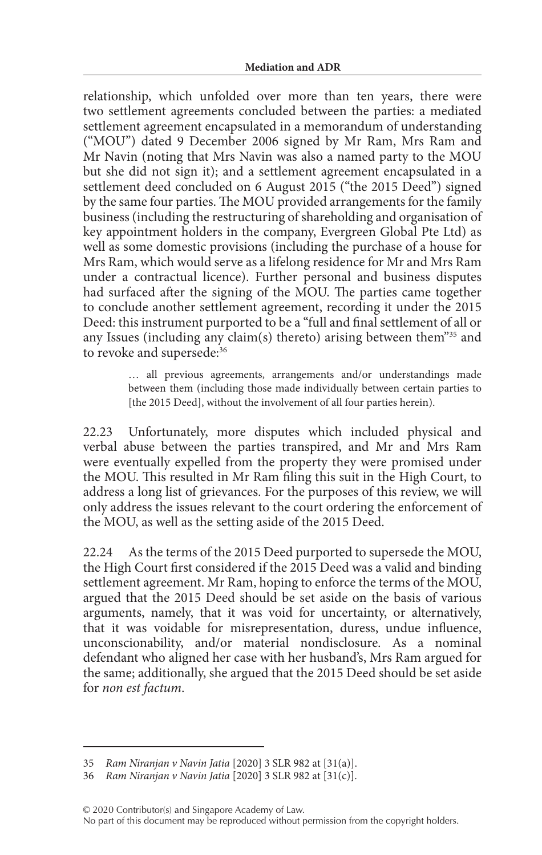relationship, which unfolded over more than ten years, there were two settlement agreements concluded between the parties: a mediated settlement agreement encapsulated in a memorandum of understanding ("MOU") dated 9 December 2006 signed by Mr Ram, Mrs Ram and Mr Navin (noting that Mrs Navin was also a named party to the MOU but she did not sign it); and a settlement agreement encapsulated in a settlement deed concluded on 6 August 2015 ("the 2015 Deed") signed by the same four parties. The MOU provided arrangements for the family business (including the restructuring of shareholding and organisation of key appointment holders in the company, Evergreen Global Pte Ltd) as well as some domestic provisions (including the purchase of a house for Mrs Ram, which would serve as a lifelong residence for Mr and Mrs Ram under a contractual licence). Further personal and business disputes had surfaced after the signing of the MOU. The parties came together to conclude another settlement agreement, recording it under the 2015 Deed: this instrument purported to be a "full and final settlement of all or any Issues (including any claim(s) thereto) arising between them"35 and to revoke and supersede:<sup>36</sup>

> … all previous agreements, arrangements and/or understandings made between them (including those made individually between certain parties to [the 2015 Deed], without the involvement of all four parties herein).

22.23 Unfortunately, more disputes which included physical and verbal abuse between the parties transpired, and Mr and Mrs Ram were eventually expelled from the property they were promised under the MOU. This resulted in Mr Ram filing this suit in the High Court, to address a long list of grievances. For the purposes of this review, we will only address the issues relevant to the court ordering the enforcement of the MOU, as well as the setting aside of the 2015 Deed.

22.24 As the terms of the 2015 Deed purported to supersede the MOU, the High Court first considered if the 2015 Deed was a valid and binding settlement agreement. Mr Ram, hoping to enforce the terms of the MOU, argued that the 2015 Deed should be set aside on the basis of various arguments, namely, that it was void for uncertainty, or alternatively, that it was voidable for misrepresentation, duress, undue influence, unconscionability, and/or material nondisclosure. As a nominal defendant who aligned her case with her husband's, Mrs Ram argued for the same; additionally, she argued that the 2015 Deed should be set aside for *non est factum*.

<sup>35</sup> *Ram Niranjan v Navin Jatia* [2020] 3 SLR 982 at [31(a)].

<sup>36</sup> *Ram Niranjan v Navin Jatia* [2020] 3 SLR 982 at [31(c)].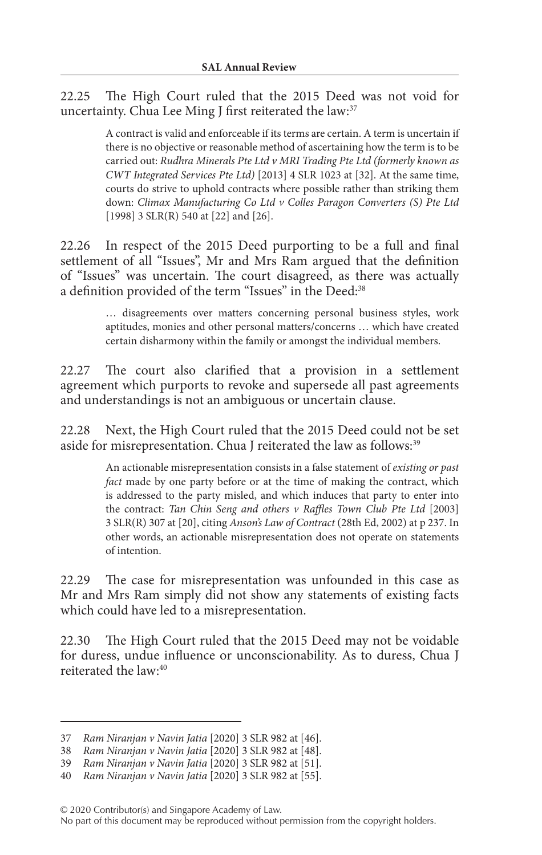22.25 The High Court ruled that the 2015 Deed was not void for uncertainty. Chua Lee Ming J first reiterated the law:<sup>37</sup>

> A contract is valid and enforceable if its terms are certain. A term is uncertain if there is no objective or reasonable method of ascertaining how the term is to be carried out: *Rudhra Minerals Pte Ltd v MRI Trading Pte Ltd (formerly known as CWT Integrated Services Pte Ltd)* [2013] 4 SLR 1023 at [32]. At the same time, courts do strive to uphold contracts where possible rather than striking them down: *Climax Manufacturing Co Ltd v Colles Paragon Converters (S) Pte Ltd* [1998] 3 SLR(R) 540 at [22] and [26].

22.26 In respect of the 2015 Deed purporting to be a full and final settlement of all "Issues", Mr and Mrs Ram argued that the definition of "Issues" was uncertain. The court disagreed, as there was actually a definition provided of the term "Issues" in the Deed:<sup>38</sup>

> … disagreements over matters concerning personal business styles, work aptitudes, monies and other personal matters/concerns … which have created certain disharmony within the family or amongst the individual members.

22.27 The court also clarified that a provision in a settlement agreement which purports to revoke and supersede all past agreements and understandings is not an ambiguous or uncertain clause.

22.28 Next, the High Court ruled that the 2015 Deed could not be set aside for misrepresentation. Chua J reiterated the law as follows:<sup>39</sup>

> An actionable misrepresentation consists in a false statement of *existing or past fact* made by one party before or at the time of making the contract, which is addressed to the party misled, and which induces that party to enter into the contract: *Tan Chin Seng and others v Raffles Town Club Pte Ltd* [2003] 3 SLR(R) 307 at [20], citing *Anson's Law of Contract* (28th Ed, 2002) at p 237. In other words, an actionable misrepresentation does not operate on statements of intention.

22.29 The case for misrepresentation was unfounded in this case as Mr and Mrs Ram simply did not show any statements of existing facts which could have led to a misrepresentation.

22.30 The High Court ruled that the 2015 Deed may not be voidable for duress, undue influence or unconscionability. As to duress, Chua J reiterated the law:40

<sup>37</sup> *Ram Niranjan v Navin Jatia* [2020] 3 SLR 982 at [46].

<sup>38</sup> *Ram Niranjan v Navin Jatia* [2020] 3 SLR 982 at [48].

<sup>39</sup> *Ram Niranjan v Navin Jatia* [2020] 3 SLR 982 at [51].

<sup>40</sup> *Ram Niranjan v Navin Jatia* [2020] 3 SLR 982 at [55].

No part of this document may be reproduced without permission from the copyright holders.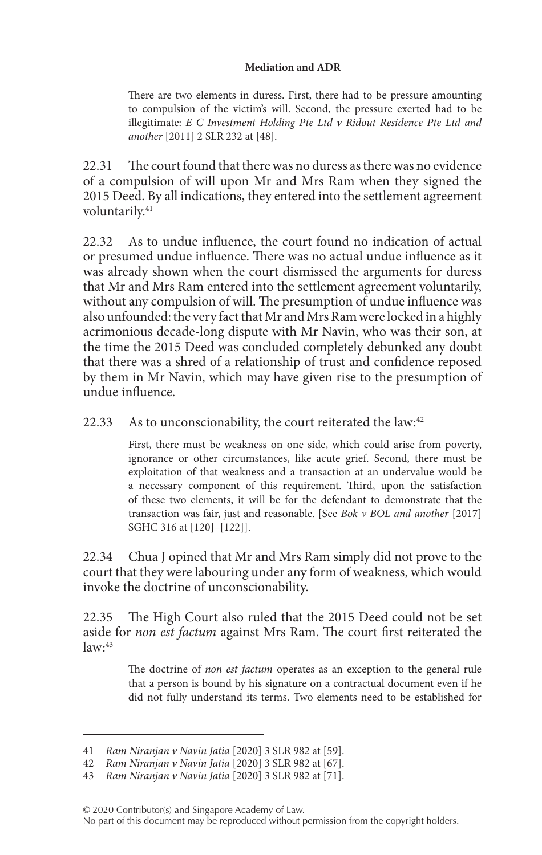There are two elements in duress. First, there had to be pressure amounting to compulsion of the victim's will. Second, the pressure exerted had to be illegitimate: *E C Investment Holding Pte Ltd v Ridout Residence Pte Ltd and another* [2011] 2 SLR 232 at [48].

22.31 The court found that there was no duress as there was no evidence of a compulsion of will upon Mr and Mrs Ram when they signed the 2015 Deed. By all indications, they entered into the settlement agreement voluntarily.<sup>41</sup>

22.32 As to undue influence, the court found no indication of actual or presumed undue influence. There was no actual undue influence as it was already shown when the court dismissed the arguments for duress that Mr and Mrs Ram entered into the settlement agreement voluntarily, without any compulsion of will. The presumption of undue influence was also unfounded: the very fact that Mr and Mrs Ram were locked in a highly acrimonious decade-long dispute with Mr Navin, who was their son, at the time the 2015 Deed was concluded completely debunked any doubt that there was a shred of a relationship of trust and confidence reposed by them in Mr Navin, which may have given rise to the presumption of undue influence.

#### 22.33 As to unconscionability, the court reiterated the law:<sup>42</sup>

First, there must be weakness on one side, which could arise from poverty, ignorance or other circumstances, like acute grief. Second, there must be exploitation of that weakness and a transaction at an undervalue would be a necessary component of this requirement. Third, upon the satisfaction of these two elements, it will be for the defendant to demonstrate that the transaction was fair, just and reasonable. [See *Bok v BOL and another* [2017] SGHC 316 at [120]–[122]].

22.34 Chua J opined that Mr and Mrs Ram simply did not prove to the court that they were labouring under any form of weakness, which would invoke the doctrine of unconscionability.

22.35 The High Court also ruled that the 2015 Deed could not be set aside for *non est factum* against Mrs Ram. The court first reiterated the  $law<sup>43</sup>$ 

> The doctrine of *non est factum* operates as an exception to the general rule that a person is bound by his signature on a contractual document even if he did not fully understand its terms. Two elements need to be established for

No part of this document may be reproduced without permission from the copyright holders.

<sup>41</sup> *Ram Niranjan v Navin Jatia* [2020] 3 SLR 982 at [59].

<sup>42</sup> *Ram Niranjan v Navin Jatia* [2020] 3 SLR 982 at [67].

<sup>43</sup> *Ram Niranjan v Navin Jatia* [2020] 3 SLR 982 at [71].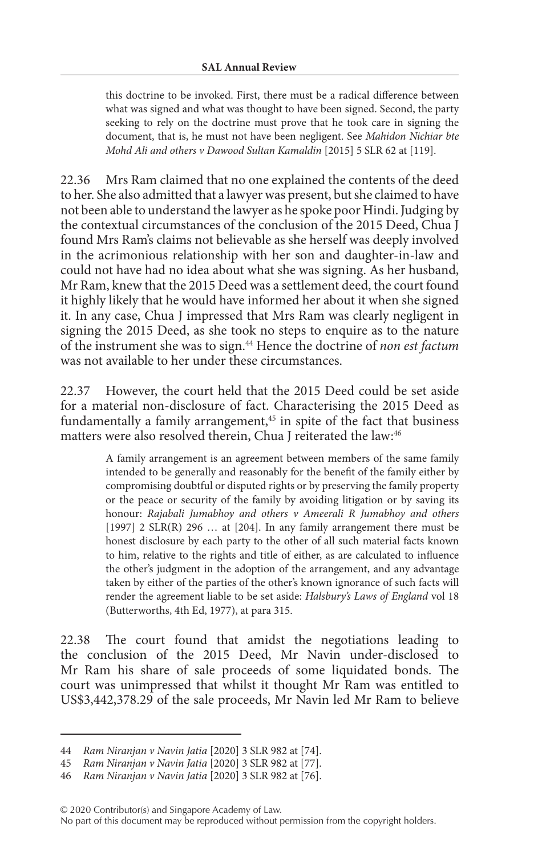this doctrine to be invoked. First, there must be a radical difference between what was signed and what was thought to have been signed. Second, the party seeking to rely on the doctrine must prove that he took care in signing the document, that is, he must not have been negligent. See *Mahidon Nichiar bte Mohd Ali and others v Dawood Sultan Kamaldin* [2015] 5 SLR 62 at [119].

22.36 Mrs Ram claimed that no one explained the contents of the deed to her. She also admitted that a lawyer was present, but she claimed to have not been able to understand the lawyer as he spoke poor Hindi. Judging by the contextual circumstances of the conclusion of the 2015 Deed, Chua J found Mrs Ram's claims not believable as she herself was deeply involved in the acrimonious relationship with her son and daughter-in-law and could not have had no idea about what she was signing. As her husband, Mr Ram, knew that the 2015 Deed was a settlement deed, the court found it highly likely that he would have informed her about it when she signed it. In any case, Chua J impressed that Mrs Ram was clearly negligent in signing the 2015 Deed, as she took no steps to enquire as to the nature of the instrument she was to sign.44 Hence the doctrine of *non est factum* was not available to her under these circumstances.

22.37 However, the court held that the 2015 Deed could be set aside for a material non-disclosure of fact. Characterising the 2015 Deed as fundamentally a family arrangement,<sup>45</sup> in spite of the fact that business matters were also resolved therein, Chua J reiterated the law:<sup>46</sup>

> A family arrangement is an agreement between members of the same family intended to be generally and reasonably for the benefit of the family either by compromising doubtful or disputed rights or by preserving the family property or the peace or security of the family by avoiding litigation or by saving its honour: *Rajabali Jumabhoy and others v Ameerali R Jumabhoy and others* [1997]  $2$  SLR(R)  $296$  ... at [204]. In any family arrangement there must be honest disclosure by each party to the other of all such material facts known to him, relative to the rights and title of either, as are calculated to influence the other's judgment in the adoption of the arrangement, and any advantage taken by either of the parties of the other's known ignorance of such facts will render the agreement liable to be set aside: *Halsbury's Laws of England* vol 18 (Butterworths, 4th Ed, 1977), at para 315.

22.38 The court found that amidst the negotiations leading to the conclusion of the 2015 Deed, Mr Navin under-disclosed to Mr Ram his share of sale proceeds of some liquidated bonds. The court was unimpressed that whilst it thought Mr Ram was entitled to US\$3,442,378.29 of the sale proceeds, Mr Navin led Mr Ram to believe

<sup>44</sup> *Ram Niranjan v Navin Jatia* [2020] 3 SLR 982 at [74].

<sup>45</sup> *Ram Niranjan v Navin Jatia* [2020] 3 SLR 982 at [77].

<sup>46</sup> *Ram Niranjan v Navin Jatia* [2020] 3 SLR 982 at [76].

No part of this document may be reproduced without permission from the copyright holders.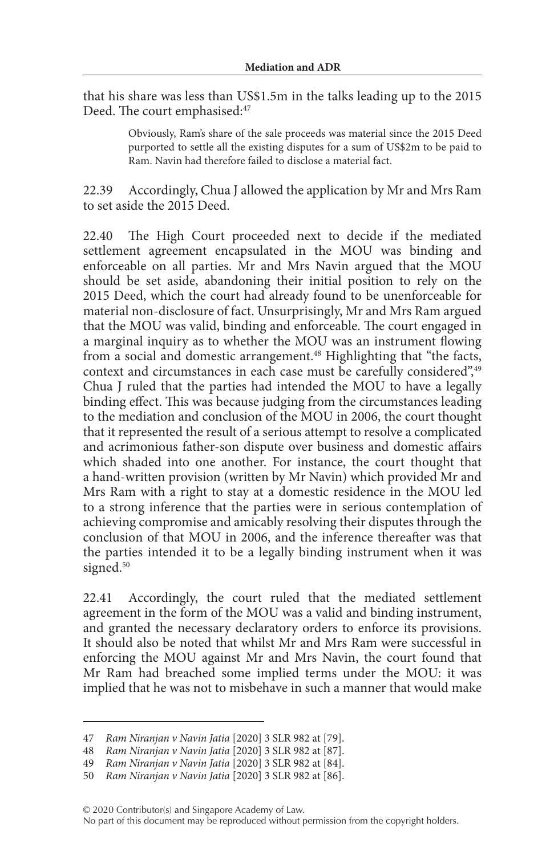that his share was less than US\$1.5m in the talks leading up to the 2015 Deed. The court emphasised:<sup>47</sup>

> Obviously, Ram's share of the sale proceeds was material since the 2015 Deed purported to settle all the existing disputes for a sum of US\$2m to be paid to Ram. Navin had therefore failed to disclose a material fact.

22.39 Accordingly, Chua J allowed the application by Mr and Mrs Ram to set aside the 2015 Deed.

22.40 The High Court proceeded next to decide if the mediated settlement agreement encapsulated in the MOU was binding and enforceable on all parties. Mr and Mrs Navin argued that the MOU should be set aside, abandoning their initial position to rely on the 2015 Deed, which the court had already found to be unenforceable for material non-disclosure of fact. Unsurprisingly, Mr and Mrs Ram argued that the MOU was valid, binding and enforceable. The court engaged in a marginal inquiry as to whether the MOU was an instrument flowing from a social and domestic arrangement.<sup>48</sup> Highlighting that "the facts, context and circumstances in each case must be carefully considered",<sup>49</sup> Chua J ruled that the parties had intended the MOU to have a legally binding effect. This was because judging from the circumstances leading to the mediation and conclusion of the MOU in 2006, the court thought that it represented the result of a serious attempt to resolve a complicated and acrimonious father-son dispute over business and domestic affairs which shaded into one another. For instance, the court thought that a hand-written provision (written by Mr Navin) which provided Mr and Mrs Ram with a right to stay at a domestic residence in the MOU led to a strong inference that the parties were in serious contemplation of achieving compromise and amicably resolving their disputes through the conclusion of that MOU in 2006, and the inference thereafter was that the parties intended it to be a legally binding instrument when it was signed.<sup>50</sup>

22.41 Accordingly, the court ruled that the mediated settlement agreement in the form of the MOU was a valid and binding instrument, and granted the necessary declaratory orders to enforce its provisions. It should also be noted that whilst Mr and Mrs Ram were successful in enforcing the MOU against Mr and Mrs Navin, the court found that Mr Ram had breached some implied terms under the MOU: it was implied that he was not to misbehave in such a manner that would make

No part of this document may be reproduced without permission from the copyright holders.

<sup>47</sup> *Ram Niranjan v Navin Jatia* [2020] 3 SLR 982 at [79].

<sup>48</sup> *Ram Niranjan v Navin Jatia* [2020] 3 SLR 982 at [87].

<sup>49</sup> *Ram Niranjan v Navin Jatia* [2020] 3 SLR 982 at [84].

<sup>50</sup> *Ram Niranjan v Navin Jatia* [2020] 3 SLR 982 at [86].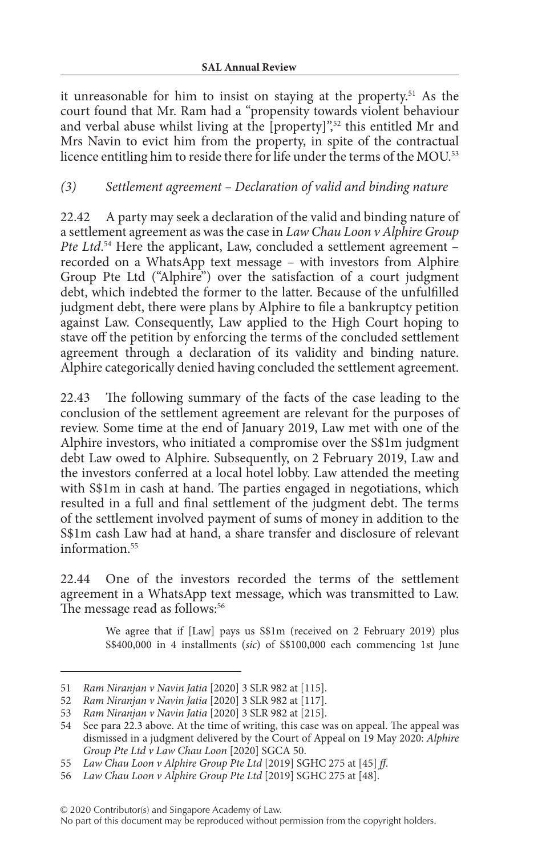it unreasonable for him to insist on staying at the property.51 As the court found that Mr. Ram had a "propensity towards violent behaviour and verbal abuse whilst living at the [property]",<sup>52</sup> this entitled Mr and Mrs Navin to evict him from the property, in spite of the contractual licence entitling him to reside there for life under the terms of the MOU.<sup>53</sup>

### *(3) Settlement agreement – Declaration of valid and binding nature*

22.42 A party may seek a declaration of the valid and binding nature of a settlement agreement as was the case in *Law Chau Loon v Alphire Group*  Pte Ltd.<sup>54</sup> Here the applicant, Law, concluded a settlement agreement – recorded on a WhatsApp text message – with investors from Alphire Group Pte Ltd ("Alphire") over the satisfaction of a court judgment debt, which indebted the former to the latter. Because of the unfulfilled judgment debt, there were plans by Alphire to file a bankruptcy petition against Law. Consequently, Law applied to the High Court hoping to stave off the petition by enforcing the terms of the concluded settlement agreement through a declaration of its validity and binding nature. Alphire categorically denied having concluded the settlement agreement.

22.43 The following summary of the facts of the case leading to the conclusion of the settlement agreement are relevant for the purposes of review. Some time at the end of January 2019, Law met with one of the Alphire investors, who initiated a compromise over the S\$1m judgment debt Law owed to Alphire. Subsequently, on 2 February 2019, Law and the investors conferred at a local hotel lobby. Law attended the meeting with S\$1m in cash at hand. The parties engaged in negotiations, which resulted in a full and final settlement of the judgment debt. The terms of the settlement involved payment of sums of money in addition to the S\$1m cash Law had at hand, a share transfer and disclosure of relevant information<sup>55</sup>

22.44 One of the investors recorded the terms of the settlement agreement in a WhatsApp text message, which was transmitted to Law. The message read as follows:<sup>56</sup>

> We agree that if [Law] pays us S\$1m (received on 2 February 2019) plus S\$400,000 in 4 installments (*sic*) of S\$100,000 each commencing 1st June

© 2020 Contributor(s) and Singapore Academy of Law.

<sup>51</sup> *Ram Niranjan v Navin Jatia* [2020] 3 SLR 982 at [115].

<sup>52</sup> *Ram Niranjan v Navin Jatia* [2020] 3 SLR 982 at [117].

<sup>53</sup> *Ram Niranjan v Navin Jatia* [2020] 3 SLR 982 at [215].

<sup>54</sup> See para 22.3 above. At the time of writing, this case was on appeal. The appeal was dismissed in a judgment delivered by the Court of Appeal on 19 May 2020: *Alphire Group Pte Ltd v Law Chau Loon* [2020] SGCA 50.

<sup>55</sup> *Law Chau Loon v Alphire Group Pte Ltd* [2019] SGHC 275 at [45] *ff*.

<sup>56</sup> *Law Chau Loon v Alphire Group Pte Ltd* [2019] SGHC 275 at [48].

No part of this document may be reproduced without permission from the copyright holders.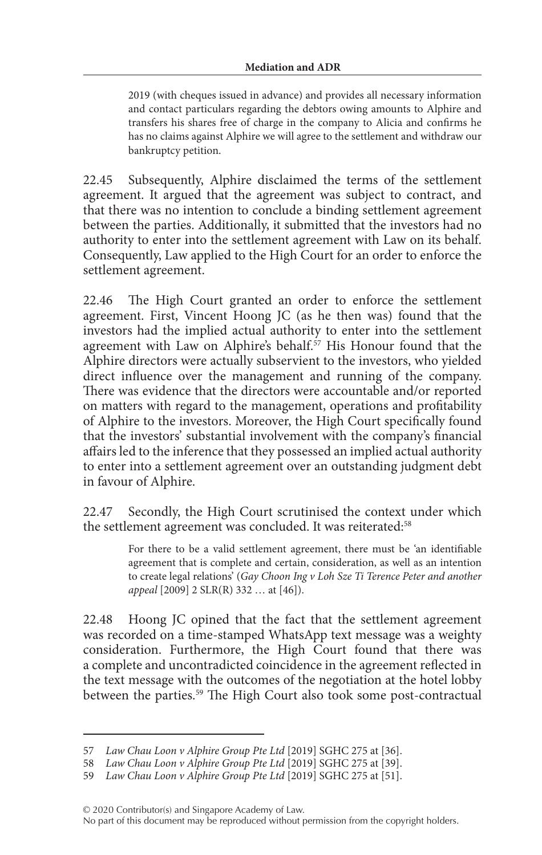2019 (with cheques issued in advance) and provides all necessary information and contact particulars regarding the debtors owing amounts to Alphire and transfers his shares free of charge in the company to Alicia and confirms he has no claims against Alphire we will agree to the settlement and withdraw our bankruptcy petition.

22.45 Subsequently, Alphire disclaimed the terms of the settlement agreement. It argued that the agreement was subject to contract, and that there was no intention to conclude a binding settlement agreement between the parties. Additionally, it submitted that the investors had no authority to enter into the settlement agreement with Law on its behalf. Consequently, Law applied to the High Court for an order to enforce the settlement agreement.

22.46 The High Court granted an order to enforce the settlement agreement. First, Vincent Hoong JC (as he then was) found that the investors had the implied actual authority to enter into the settlement agreement with Law on Alphire's behalf.<sup>57</sup> His Honour found that the Alphire directors were actually subservient to the investors, who yielded direct influence over the management and running of the company. There was evidence that the directors were accountable and/or reported on matters with regard to the management, operations and profitability of Alphire to the investors. Moreover, the High Court specifically found that the investors' substantial involvement with the company's financial affairs led to the inference that they possessed an implied actual authority to enter into a settlement agreement over an outstanding judgment debt in favour of Alphire.

22.47 Secondly, the High Court scrutinised the context under which the settlement agreement was concluded. It was reiterated:<sup>58</sup>

> For there to be a valid settlement agreement, there must be 'an identifiable agreement that is complete and certain, consideration, as well as an intention to create legal relations' (*Gay Choon Ing v Loh Sze Ti Terence Peter and another appeal* [2009] 2 SLR(R) 332 … at [46]).

22.48 Hoong JC opined that the fact that the settlement agreement was recorded on a time-stamped WhatsApp text message was a weighty consideration. Furthermore, the High Court found that there was a complete and uncontradicted coincidence in the agreement reflected in the text message with the outcomes of the negotiation at the hotel lobby between the parties.<sup>59</sup> The High Court also took some post-contractual

No part of this document may be reproduced without permission from the copyright holders.

<sup>57</sup> *Law Chau Loon v Alphire Group Pte Ltd* [2019] SGHC 275 at [36].

<sup>58</sup> *Law Chau Loon v Alphire Group Pte Ltd* [2019] SGHC 275 at [39].

<sup>59</sup> *Law Chau Loon v Alphire Group Pte Ltd* [2019] SGHC 275 at [51].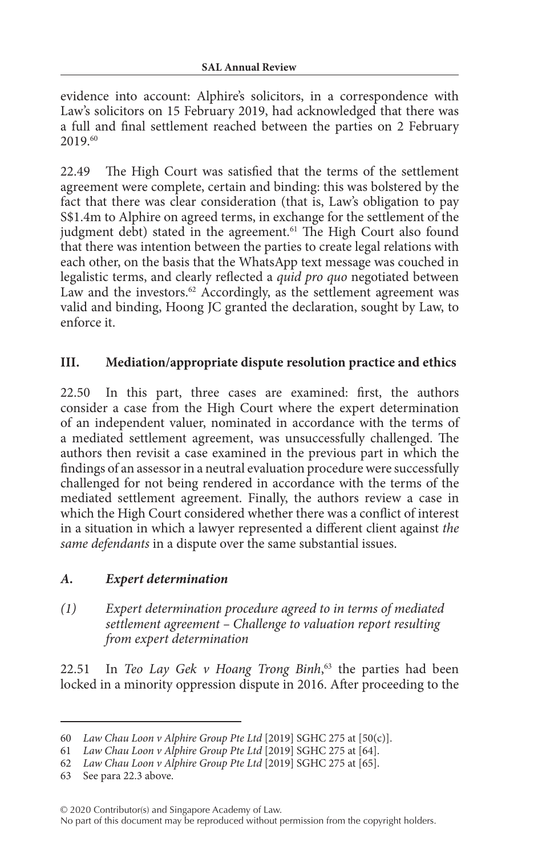evidence into account: Alphire's solicitors, in a correspondence with Law's solicitors on 15 February 2019, had acknowledged that there was a full and final settlement reached between the parties on 2 February 2019.60

22.49 The High Court was satisfied that the terms of the settlement agreement were complete, certain and binding: this was bolstered by the fact that there was clear consideration (that is, Law's obligation to pay S\$1.4m to Alphire on agreed terms, in exchange for the settlement of the judgment debt) stated in the agreement.<sup>61</sup> The High Court also found that there was intention between the parties to create legal relations with each other, on the basis that the WhatsApp text message was couched in legalistic terms, and clearly reflected a *quid pro quo* negotiated between Law and the investors. $62$  Accordingly, as the settlement agreement was valid and binding, Hoong JC granted the declaration, sought by Law, to enforce it.

### **III. Mediation/appropriate dispute resolution practice and ethics**

22.50 In this part, three cases are examined: first, the authors consider a case from the High Court where the expert determination of an independent valuer, nominated in accordance with the terms of a mediated settlement agreement, was unsuccessfully challenged. The authors then revisit a case examined in the previous part in which the findings of an assessor in a neutral evaluation procedure were successfully challenged for not being rendered in accordance with the terms of the mediated settlement agreement. Finally, the authors review a case in which the High Court considered whether there was a conflict of interest in a situation in which a lawyer represented a different client against *the same defendants* in a dispute over the same substantial issues.

### *A. Expert determination*

*(1) Expert determination procedure agreed to in terms of mediated settlement agreement – Challenge to valuation report resulting from expert determination*

22.51 In *Teo Lay Gek v Hoang Trong Binh*, 63 the parties had been locked in a minority oppression dispute in 2016. After proceeding to the

<sup>60</sup> *Law Chau Loon v Alphire Group Pte Ltd* [2019] SGHC 275 at [50(c)].

<sup>61</sup> *Law Chau Loon v Alphire Group Pte Ltd* [2019] SGHC 275 at [64].

<sup>62</sup> *Law Chau Loon v Alphire Group Pte Ltd* [2019] SGHC 275 at [65].

<sup>63</sup> See para 22.3 above.

<sup>© 2020</sup> Contributor(s) and Singapore Academy of Law.

No part of this document may be reproduced without permission from the copyright holders.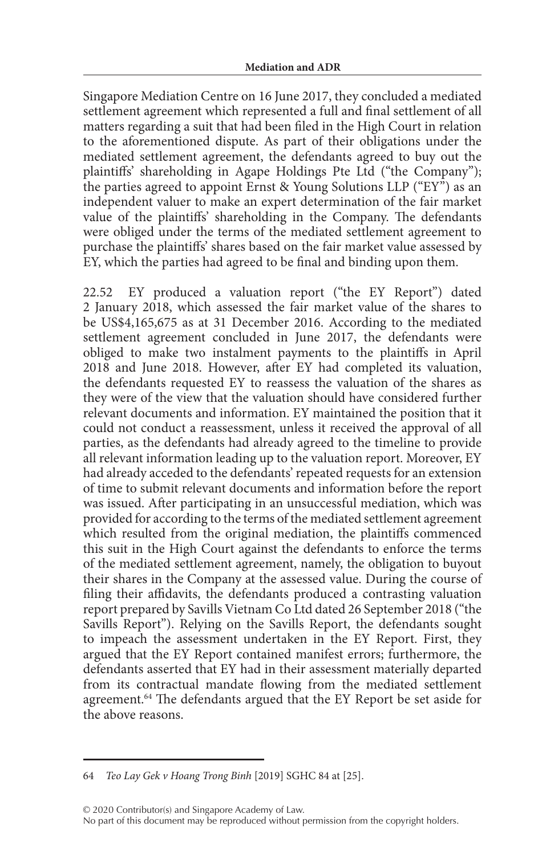Singapore Mediation Centre on 16 June 2017, they concluded a mediated settlement agreement which represented a full and final settlement of all matters regarding a suit that had been filed in the High Court in relation to the aforementioned dispute. As part of their obligations under the mediated settlement agreement, the defendants agreed to buy out the plaintiffs' shareholding in Agape Holdings Pte Ltd ("the Company"); the parties agreed to appoint Ernst & Young Solutions LLP ("EY") as an independent valuer to make an expert determination of the fair market value of the plaintiffs' shareholding in the Company. The defendants were obliged under the terms of the mediated settlement agreement to purchase the plaintiffs' shares based on the fair market value assessed by EY, which the parties had agreed to be final and binding upon them.

22.52 EY produced a valuation report ("the EY Report") dated 2 January 2018, which assessed the fair market value of the shares to be US\$4,165,675 as at 31 December 2016. According to the mediated settlement agreement concluded in June 2017, the defendants were obliged to make two instalment payments to the plaintiffs in April 2018 and June 2018. However, after EY had completed its valuation, the defendants requested EY to reassess the valuation of the shares as they were of the view that the valuation should have considered further relevant documents and information. EY maintained the position that it could not conduct a reassessment, unless it received the approval of all parties, as the defendants had already agreed to the timeline to provide all relevant information leading up to the valuation report. Moreover, EY had already acceded to the defendants' repeated requests for an extension of time to submit relevant documents and information before the report was issued. After participating in an unsuccessful mediation, which was provided for according to the terms of the mediated settlement agreement which resulted from the original mediation, the plaintiffs commenced this suit in the High Court against the defendants to enforce the terms of the mediated settlement agreement, namely, the obligation to buyout their shares in the Company at the assessed value. During the course of filing their affidavits, the defendants produced a contrasting valuation report prepared by Savills Vietnam Co Ltd dated 26 September 2018 ("the Savills Report"). Relying on the Savills Report, the defendants sought to impeach the assessment undertaken in the EY Report. First, they argued that the EY Report contained manifest errors; furthermore, the defendants asserted that EY had in their assessment materially departed from its contractual mandate flowing from the mediated settlement agreement.<sup>64</sup> The defendants argued that the EY Report be set aside for the above reasons.

<sup>64</sup> *Teo Lay Gek v Hoang Trong Binh* [2019] SGHC 84 at [25].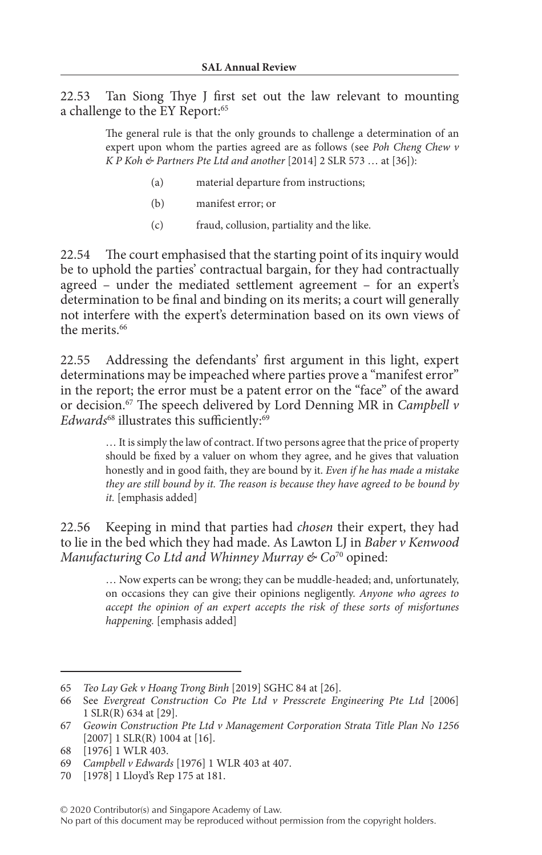22.53 Tan Siong Thye J first set out the law relevant to mounting a challenge to the EY Report:<sup>65</sup>

> The general rule is that the only grounds to challenge a determination of an expert upon whom the parties agreed are as follows (see *Poh Cheng Chew v K P Koh & Partners Pte Ltd and another* [2014] 2 SLR 573 … at [36]):

- (a) material departure from instructions;
- (b) manifest error; or
- (c) fraud, collusion, partiality and the like.

22.54 The court emphasised that the starting point of its inquiry would be to uphold the parties' contractual bargain, for they had contractually agreed – under the mediated settlement agreement – for an expert's determination to be final and binding on its merits; a court will generally not interfere with the expert's determination based on its own views of the merits<sup>66</sup>

22.55 Addressing the defendants' first argument in this light, expert determinations may be impeached where parties prove a "manifest error" in the report; the error must be a patent error on the "face" of the award or decision.67 The speech delivered by Lord Denning MR in *Campbell v*  Edwards<sup>68</sup> illustrates this sufficiently:<sup>69</sup>

> … It is simply the law of contract. If two persons agree that the price of property should be fixed by a valuer on whom they agree, and he gives that valuation honestly and in good faith, they are bound by it. *Even if he has made a mistake they are still bound by it. The reason is because they have agreed to be bound by it.* [emphasis added]

22.56 Keeping in mind that parties had *chosen* their expert, they had to lie in the bed which they had made. As Lawton LJ in *Baber v Kenwood Manufacturing Co Ltd and Whinney Murray & Co*<sup>70</sup> opined:

> … Now experts can be wrong; they can be muddle-headed; and, unfortunately, on occasions they can give their opinions negligently. *Anyone who agrees to accept the opinion of an expert accepts the risk of these sorts of misfortunes happening.* [emphasis added]

70 [1978] 1 Lloyd's Rep 175 at 181.

#### © 2020 Contributor(s) and Singapore Academy of Law. No part of this document may be reproduced without permission from the copyright holders.

<sup>65</sup> *Teo Lay Gek v Hoang Trong Binh* [2019] SGHC 84 at [26].

<sup>66</sup> See *Evergreat Construction Co Pte Ltd v Presscrete Engineering Pte Ltd* [2006] 1 SLR(R) 634 at [29].

<sup>67</sup> *Geowin Construction Pte Ltd v Management Corporation Strata Title Plan No 1256* [2007] 1 SLR(R) 1004 at [16].

<sup>68</sup> [1976] 1 WLR 403.

<sup>69</sup> *Campbell v Edwards* [1976] 1 WLR 403 at 407.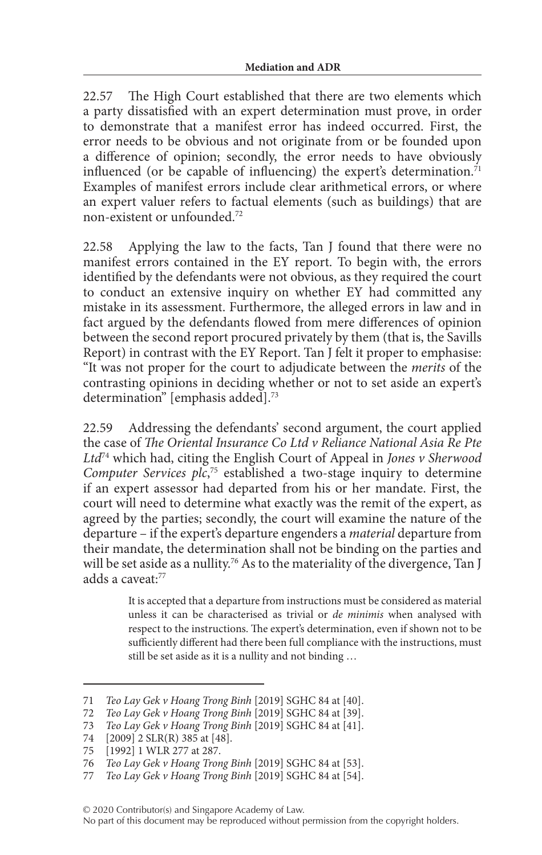22.57 The High Court established that there are two elements which a party dissatisfied with an expert determination must prove, in order to demonstrate that a manifest error has indeed occurred. First, the error needs to be obvious and not originate from or be founded upon a difference of opinion; secondly, the error needs to have obviously influenced (or be capable of influencing) the expert's determination.<sup>71</sup> Examples of manifest errors include clear arithmetical errors, or where an expert valuer refers to factual elements (such as buildings) that are non-existent or unfounded<sup>72</sup>

22.58 Applying the law to the facts, Tan J found that there were no manifest errors contained in the EY report. To begin with, the errors identified by the defendants were not obvious, as they required the court to conduct an extensive inquiry on whether EY had committed any mistake in its assessment. Furthermore, the alleged errors in law and in fact argued by the defendants flowed from mere differences of opinion between the second report procured privately by them (that is, the Savills Report) in contrast with the EY Report. Tan J felt it proper to emphasise: "It was not proper for the court to adjudicate between the *merits* of the contrasting opinions in deciding whether or not to set aside an expert's determination" [emphasis added].<sup>73</sup>

22.59 Addressing the defendants' second argument, the court applied the case of *The Oriental Insurance Co Ltd v Reliance National Asia Re Pte Ltd*74 which had, citing the English Court of Appeal in *Jones v Sherwood Computer Services plc*, 75 established a two-stage inquiry to determine if an expert assessor had departed from his or her mandate. First, the court will need to determine what exactly was the remit of the expert, as agreed by the parties; secondly, the court will examine the nature of the departure – if the expert's departure engenders a *material* departure from their mandate, the determination shall not be binding on the parties and will be set aside as a nullity.<sup>76</sup> As to the materiality of the divergence, Tan J adds a caveat:77

> It is accepted that a departure from instructions must be considered as material unless it can be characterised as trivial or *de minimis* when analysed with respect to the instructions. The expert's determination, even if shown not to be sufficiently different had there been full compliance with the instructions, must still be set aside as it is a nullity and not binding …

<sup>71</sup> *Teo Lay Gek v Hoang Trong Binh* [2019] SGHC 84 at [40].

<sup>72</sup> *Teo Lay Gek v Hoang Trong Binh* [2019] SGHC 84 at [39].

<sup>73</sup> *Teo Lay Gek v Hoang Trong Binh* [2019] SGHC 84 at [41].

<sup>74 [2009] 2</sup> SLR(R) 385 at [48].<br>75 [1992] 1 WLR 277 at 287.

<sup>[1992] 1</sup> WLR 277 at 287.

<sup>76</sup> *Teo Lay Gek v Hoang Trong Binh* [2019] SGHC 84 at [53].

<sup>77</sup> *Teo Lay Gek v Hoang Trong Binh* [2019] SGHC 84 at [54].

No part of this document may be reproduced without permission from the copyright holders.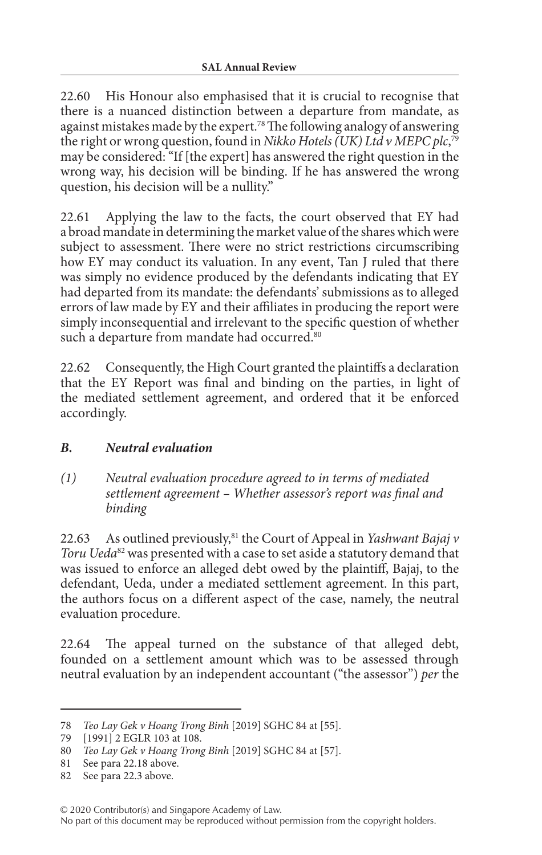22.60 His Honour also emphasised that it is crucial to recognise that there is a nuanced distinction between a departure from mandate, as against mistakes made by the expert.78 The following analogy of answering the right or wrong question, found in *Nikko Hotels (UK) Ltd v MEPC plc*, 79 may be considered: "If [the expert] has answered the right question in the wrong way, his decision will be binding. If he has answered the wrong question, his decision will be a nullity."

22.61 Applying the law to the facts, the court observed that EY had a broad mandate in determining the market value of the shares which were subject to assessment. There were no strict restrictions circumscribing how EY may conduct its valuation. In any event, Tan J ruled that there was simply no evidence produced by the defendants indicating that EY had departed from its mandate: the defendants' submissions as to alleged errors of law made by EY and their affiliates in producing the report were simply inconsequential and irrelevant to the specific question of whether such a departure from mandate had occurred.<sup>80</sup>

22.62 Consequently, the High Court granted the plaintiffs a declaration that the EY Report was final and binding on the parties, in light of the mediated settlement agreement, and ordered that it be enforced accordingly.

## *B. Neutral evaluation*

*(1) Neutral evaluation procedure agreed to in terms of mediated settlement agreement – Whether assessor's report was final and binding*

22.63 As outlined previously,<sup>81</sup> the Court of Appeal in *Yashwant Bajaj v Toru Ueda*82 was presented with a case to set aside a statutory demand that was issued to enforce an alleged debt owed by the plaintiff, Bajaj, to the defendant, Ueda, under a mediated settlement agreement. In this part, the authors focus on a different aspect of the case, namely, the neutral evaluation procedure.

22.64 The appeal turned on the substance of that alleged debt, founded on a settlement amount which was to be assessed through neutral evaluation by an independent accountant ("the assessor") *per* the

<sup>78</sup> *Teo Lay Gek v Hoang Trong Binh* [2019] SGHC 84 at [55].

<sup>79</sup> [1991] 2 EGLR 103 at 108.

<sup>80</sup> *Teo Lay Gek v Hoang Trong Binh* [2019] SGHC 84 at [57].

<sup>81</sup> See para 22.18 above.

<sup>82</sup> See para 22.3 above.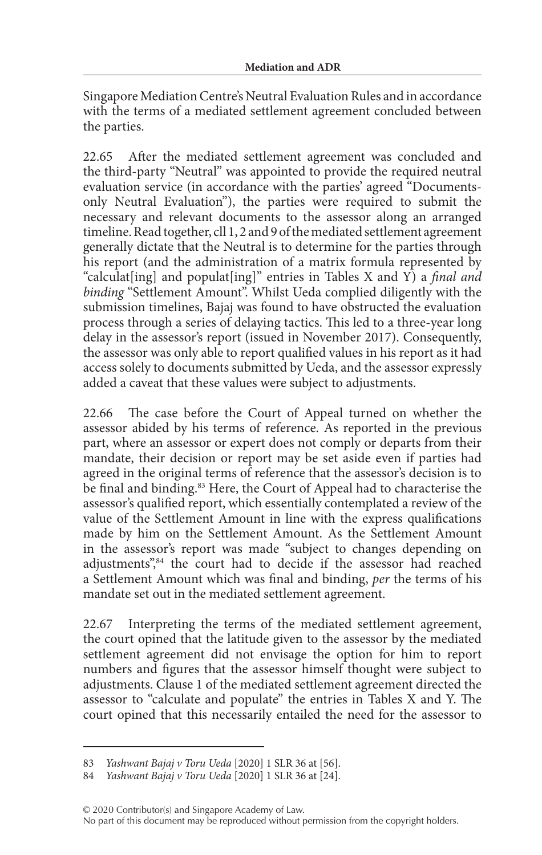Singapore Mediation Centre's Neutral Evaluation Rules and in accordance with the terms of a mediated settlement agreement concluded between the parties.

22.65 After the mediated settlement agreement was concluded and the third-party "Neutral" was appointed to provide the required neutral evaluation service (in accordance with the parties' agreed "Documentsonly Neutral Evaluation"), the parties were required to submit the necessary and relevant documents to the assessor along an arranged timeline. Read together, cll 1, 2 and 9 of the mediated settlement agreement generally dictate that the Neutral is to determine for the parties through his report (and the administration of a matrix formula represented by "calculat[ing] and populat[ing]" entries in Tables X and Y) a *final and binding* "Settlement Amount". Whilst Ueda complied diligently with the submission timelines, Bajaj was found to have obstructed the evaluation process through a series of delaying tactics. This led to a three-year long delay in the assessor's report (issued in November 2017). Consequently, the assessor was only able to report qualified values in his report as it had access solely to documents submitted by Ueda, and the assessor expressly added a caveat that these values were subject to adjustments.

22.66 The case before the Court of Appeal turned on whether the assessor abided by his terms of reference. As reported in the previous part, where an assessor or expert does not comply or departs from their mandate, their decision or report may be set aside even if parties had agreed in the original terms of reference that the assessor's decision is to be final and binding.<sup>83</sup> Here, the Court of Appeal had to characterise the assessor's qualified report, which essentially contemplated a review of the value of the Settlement Amount in line with the express qualifications made by him on the Settlement Amount. As the Settlement Amount in the assessor's report was made "subject to changes depending on adjustments",<sup>84</sup> the court had to decide if the assessor had reached a Settlement Amount which was final and binding, *per* the terms of his mandate set out in the mediated settlement agreement.

22.67 Interpreting the terms of the mediated settlement agreement, the court opined that the latitude given to the assessor by the mediated settlement agreement did not envisage the option for him to report numbers and figures that the assessor himself thought were subject to adjustments. Clause 1 of the mediated settlement agreement directed the assessor to "calculate and populate" the entries in Tables X and Y. The court opined that this necessarily entailed the need for the assessor to

<sup>83</sup> *Yashwant Bajaj v Toru Ueda* [2020] 1 SLR 36 at [56].

<sup>84</sup> *Yashwant Bajaj v Toru Ueda* [2020] 1 SLR 36 at [24].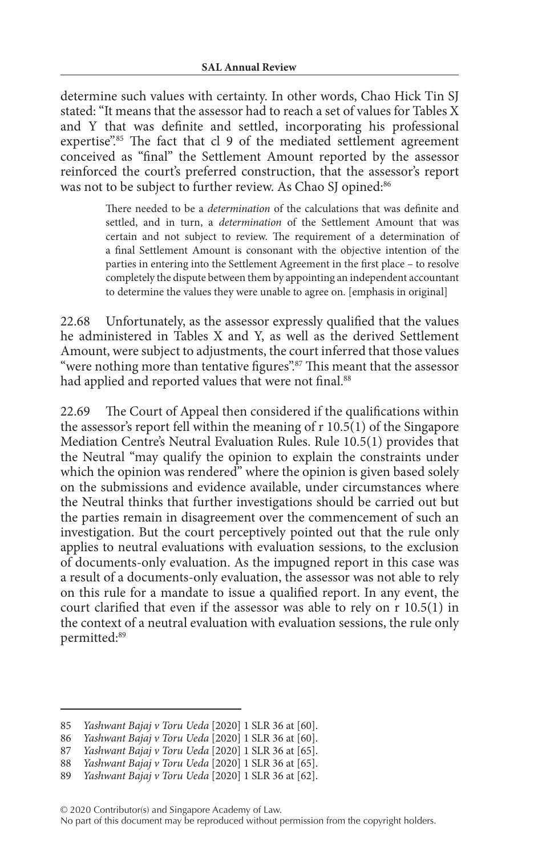determine such values with certainty. In other words, Chao Hick Tin SJ stated: "It means that the assessor had to reach a set of values for Tables X and Y that was definite and settled, incorporating his professional expertise".<sup>85</sup> The fact that cl 9 of the mediated settlement agreement conceived as "final" the Settlement Amount reported by the assessor reinforced the court's preferred construction, that the assessor's report was not to be subject to further review. As Chao SJ opined:<sup>86</sup>

> There needed to be a *determination* of the calculations that was definite and settled, and in turn, a *determination* of the Settlement Amount that was certain and not subject to review. The requirement of a determination of a final Settlement Amount is consonant with the objective intention of the parties in entering into the Settlement Agreement in the first place – to resolve completely the dispute between them by appointing an independent accountant to determine the values they were unable to agree on. [emphasis in original]

22.68 Unfortunately, as the assessor expressly qualified that the values he administered in Tables X and Y, as well as the derived Settlement Amount, were subject to adjustments, the court inferred that those values "were nothing more than tentative figures".<sup>87</sup> This meant that the assessor had applied and reported values that were not final.<sup>88</sup>

22.69 The Court of Appeal then considered if the qualifications within the assessor's report fell within the meaning of r 10.5(1) of the Singapore Mediation Centre's Neutral Evaluation Rules. Rule 10.5(1) provides that the Neutral "may qualify the opinion to explain the constraints under which the opinion was rendered" where the opinion is given based solely on the submissions and evidence available, under circumstances where the Neutral thinks that further investigations should be carried out but the parties remain in disagreement over the commencement of such an investigation. But the court perceptively pointed out that the rule only applies to neutral evaluations with evaluation sessions, to the exclusion of documents-only evaluation. As the impugned report in this case was a result of a documents-only evaluation, the assessor was not able to rely on this rule for a mandate to issue a qualified report. In any event, the court clarified that even if the assessor was able to rely on r 10.5(1) in the context of a neutral evaluation with evaluation sessions, the rule only permitted:89

<sup>85</sup> *Yashwant Bajaj v Toru Ueda* [2020] 1 SLR 36 at [60].

<sup>86</sup> *Yashwant Bajaj v Toru Ueda* [2020] 1 SLR 36 at [60].

Yashwant Bajaj v Toru Ueda [2020] 1 SLR 36 at [65].

<sup>88</sup> *Yashwant Bajaj v Toru Ueda* [2020] 1 SLR 36 at [65].

<sup>89</sup> *Yashwant Bajaj v Toru Ueda* [2020] 1 SLR 36 at [62].

No part of this document may be reproduced without permission from the copyright holders.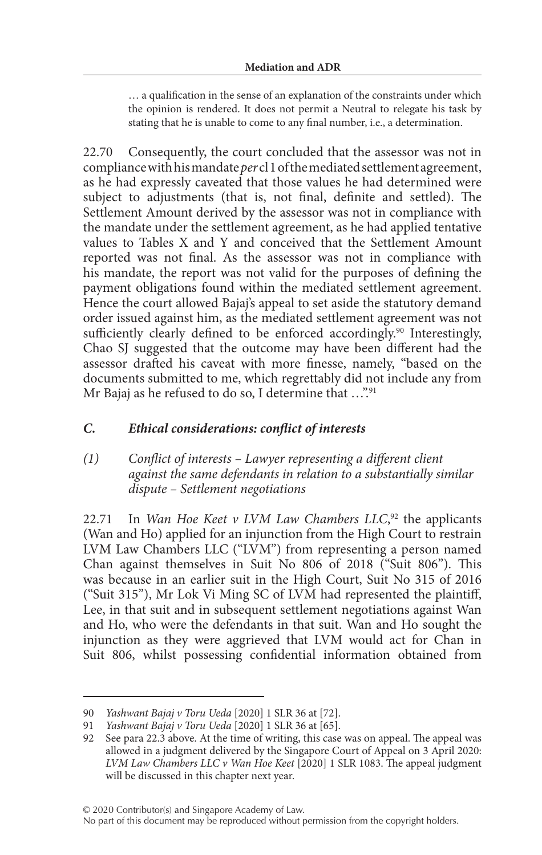… a qualification in the sense of an explanation of the constraints under which the opinion is rendered. It does not permit a Neutral to relegate his task by stating that he is unable to come to any final number, i.e., a determination.

22.70 Consequently, the court concluded that the assessor was not in compliance with his mandate *per* cl 1 of the mediated settlement agreement, as he had expressly caveated that those values he had determined were subject to adjustments (that is, not final, definite and settled). The Settlement Amount derived by the assessor was not in compliance with the mandate under the settlement agreement, as he had applied tentative values to Tables X and Y and conceived that the Settlement Amount reported was not final. As the assessor was not in compliance with his mandate, the report was not valid for the purposes of defining the payment obligations found within the mediated settlement agreement. Hence the court allowed Bajaj's appeal to set aside the statutory demand order issued against him, as the mediated settlement agreement was not sufficiently clearly defined to be enforced accordingly.<sup>90</sup> Interestingly, Chao SJ suggested that the outcome may have been different had the assessor drafted his caveat with more finesse, namely, "based on the documents submitted to me, which regrettably did not include any from Mr Bajaj as he refused to do so, I determine that  $\ldots$ <sup>91</sup>

### *C. Ethical considerations: conflict of interests*

#### *(1) Conflict of interests – Lawyer representing a different client against the same defendants in relation to a substantially similar dispute – Settlement negotiations*

22.71 In *Wan Hoe Keet v LVM Law Chambers LLC*,<sup>92</sup> the applicants (Wan and Ho) applied for an injunction from the High Court to restrain LVM Law Chambers LLC ("LVM") from representing a person named Chan against themselves in Suit No 806 of 2018 ("Suit 806"). This was because in an earlier suit in the High Court, Suit No 315 of 2016 ("Suit 315"), Mr Lok Vi Ming SC of LVM had represented the plaintiff, Lee, in that suit and in subsequent settlement negotiations against Wan and Ho, who were the defendants in that suit. Wan and Ho sought the injunction as they were aggrieved that LVM would act for Chan in Suit 806, whilst possessing confidential information obtained from

<sup>90</sup> *Yashwant Bajaj v Toru Ueda* [2020] 1 SLR 36 at [72].

<sup>91</sup> *Yashwant Bajaj v Toru Ueda* [2020] 1 SLR 36 at [65].

<sup>92</sup> See para 22.3 above. At the time of writing, this case was on appeal. The appeal was allowed in a judgment delivered by the Singapore Court of Appeal on 3 April 2020: *LVM Law Chambers LLC v Wan Hoe Keet* [2020] 1 SLR 1083. The appeal judgment will be discussed in this chapter next year.

No part of this document may be reproduced without permission from the copyright holders.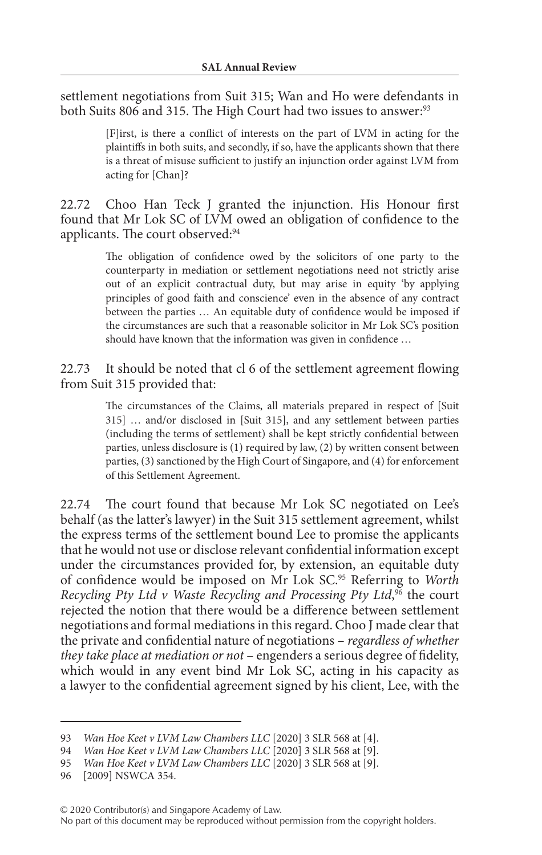settlement negotiations from Suit 315; Wan and Ho were defendants in both Suits 806 and 315. The High Court had two issues to answer:<sup>93</sup>

> [F]irst, is there a conflict of interests on the part of LVM in acting for the plaintiffs in both suits, and secondly, if so, have the applicants shown that there is a threat of misuse sufficient to justify an injunction order against LVM from acting for [Chan]?

22.72 Choo Han Teck J granted the injunction. His Honour first found that Mr Lok SC of LVM owed an obligation of confidence to the applicants. The court observed:<sup>94</sup>

> The obligation of confidence owed by the solicitors of one party to the counterparty in mediation or settlement negotiations need not strictly arise out of an explicit contractual duty, but may arise in equity 'by applying principles of good faith and conscience' even in the absence of any contract between the parties … An equitable duty of confidence would be imposed if the circumstances are such that a reasonable solicitor in Mr Lok SC's position should have known that the information was given in confidence …

22.73 It should be noted that cl 6 of the settlement agreement flowing from Suit 315 provided that:

> The circumstances of the Claims, all materials prepared in respect of [Suit 315] … and/or disclosed in [Suit 315], and any settlement between parties (including the terms of settlement) shall be kept strictly confidential between parties, unless disclosure is (1) required by law, (2) by written consent between parties, (3) sanctioned by the High Court of Singapore, and (4) for enforcement of this Settlement Agreement.

22.74 The court found that because Mr Lok SC negotiated on Lee's behalf (as the latter's lawyer) in the Suit 315 settlement agreement, whilst the express terms of the settlement bound Lee to promise the applicants that he would not use or disclose relevant confidential information except under the circumstances provided for, by extension, an equitable duty of confidence would be imposed on Mr Lok SC.95 Referring to *Worth*  Recycling Pty Ltd v Waste Recycling and Processing Pty Ltd,<sup>96</sup> the court rejected the notion that there would be a difference between settlement negotiations and formal mediations in this regard. Choo J made clear that the private and confidential nature of negotiations – *regardless of whether they take place at mediation or not* – engenders a serious degree of fidelity, which would in any event bind Mr Lok SC, acting in his capacity as a lawyer to the confidential agreement signed by his client, Lee, with the

<sup>93</sup> *Wan Hoe Keet v LVM Law Chambers LLC* [2020] 3 SLR 568 at [4].

<sup>94</sup> *Wan Hoe Keet v LVM Law Chambers LLC* [2020] 3 SLR 568 at [9].

<sup>95</sup> *Wan Hoe Keet v LVM Law Chambers LLC* [2020] 3 SLR 568 at [9].

<sup>96</sup> [2009] NSWCA 354.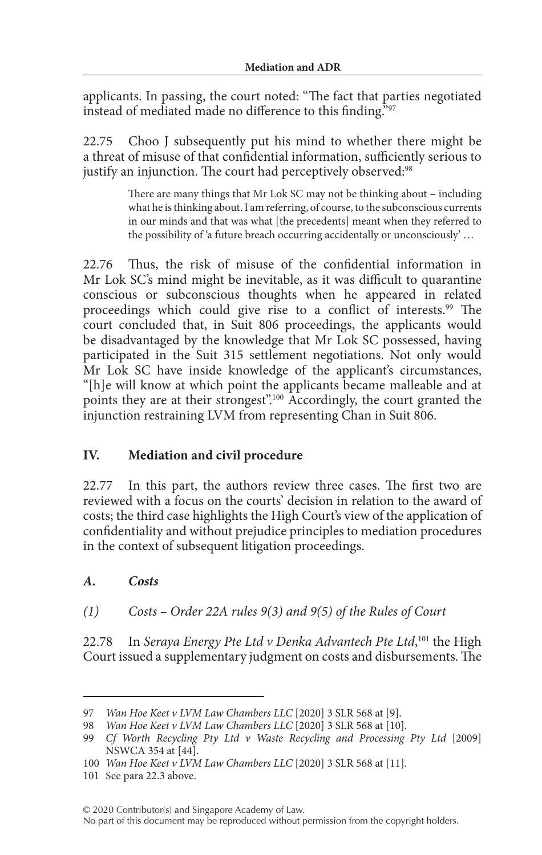applicants. In passing, the court noted: "The fact that parties negotiated instead of mediated made no difference to this finding."97

22.75 Choo J subsequently put his mind to whether there might be a threat of misuse of that confidential information, sufficiently serious to justify an injunction. The court had perceptively observed:<sup>98</sup>

> There are many things that Mr Lok SC may not be thinking about – including what he is thinking about. I am referring, of course, to the subconscious currents in our minds and that was what [the precedents] meant when they referred to the possibility of 'a future breach occurring accidentally or unconsciously' …

22.76 Thus, the risk of misuse of the confidential information in Mr Lok SC's mind might be inevitable, as it was difficult to quarantine conscious or subconscious thoughts when he appeared in related proceedings which could give rise to a conflict of interests.<sup>99</sup> The court concluded that, in Suit 806 proceedings, the applicants would be disadvantaged by the knowledge that Mr Lok SC possessed, having participated in the Suit 315 settlement negotiations. Not only would Mr Lok SC have inside knowledge of the applicant's circumstances, "[h]e will know at which point the applicants became malleable and at points they are at their strongest".100 Accordingly, the court granted the injunction restraining LVM from representing Chan in Suit 806.

### **IV. Mediation and civil procedure**

22.77 In this part, the authors review three cases. The first two are reviewed with a focus on the courts' decision in relation to the award of costs; the third case highlights the High Court's view of the application of confidentiality and without prejudice principles to mediation procedures in the context of subsequent litigation proceedings.

#### *A. Costs*

*(1) Costs – Order 22A rules 9(3) and 9(5) of the Rules of Court*

22.78 In *Seraya Energy Pte Ltd v Denka Advantech Pte Ltd*, 101 the High Court issued a supplementary judgment on costs and disbursements. The

<sup>97</sup> *Wan Hoe Keet v LVM Law Chambers LLC* [2020] 3 SLR 568 at [9].

<sup>98</sup> *Wan Hoe Keet v LVM Law Chambers LLC* [2020] 3 SLR 568 at [10].

<sup>99</sup> *Cf Worth Recycling Pty Ltd v Waste Recycling and Processing Pty Ltd* [2009] NSWCA 354 at [44].

<sup>100</sup> *Wan Hoe Keet v LVM Law Chambers LLC* [2020] 3 SLR 568 at [11].

<sup>101</sup> See para 22.3 above.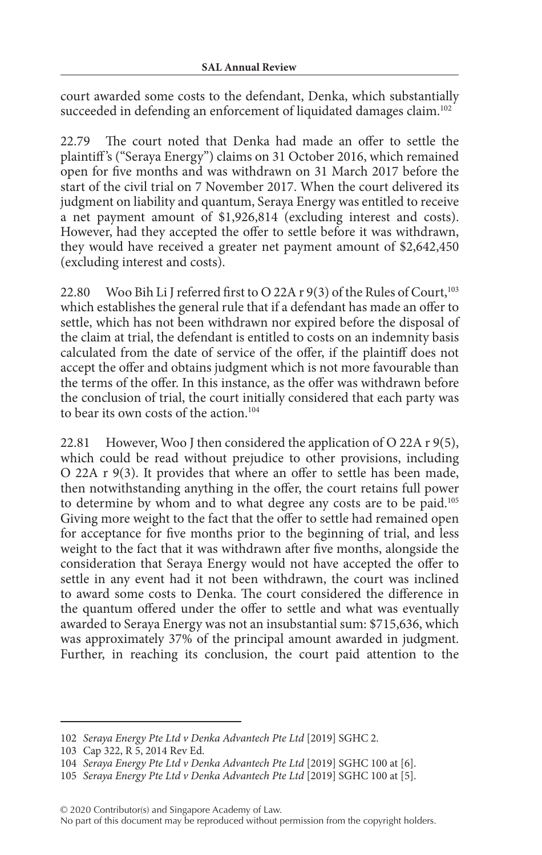court awarded some costs to the defendant, Denka, which substantially succeeded in defending an enforcement of liquidated damages claim.<sup>102</sup>

22.79 The court noted that Denka had made an offer to settle the plaintiff 's ("Seraya Energy") claims on 31 October 2016, which remained open for five months and was withdrawn on 31 March 2017 before the start of the civil trial on 7 November 2017. When the court delivered its judgment on liability and quantum, Seraya Energy was entitled to receive a net payment amount of \$1,926,814 (excluding interest and costs). However, had they accepted the offer to settle before it was withdrawn, they would have received a greater net payment amount of \$2,642,450 (excluding interest and costs).

22.80 Woo Bih Li J referred first to O 22A r 9(3) of the Rules of Court,<sup>103</sup> which establishes the general rule that if a defendant has made an offer to settle, which has not been withdrawn nor expired before the disposal of the claim at trial, the defendant is entitled to costs on an indemnity basis calculated from the date of service of the offer, if the plaintiff does not accept the offer and obtains judgment which is not more favourable than the terms of the offer. In this instance, as the offer was withdrawn before the conclusion of trial, the court initially considered that each party was to bear its own costs of the action.<sup>104</sup>

22.81 However, Woo J then considered the application of O 22A r 9(5), which could be read without prejudice to other provisions, including O 22A r 9(3). It provides that where an offer to settle has been made, then notwithstanding anything in the offer, the court retains full power to determine by whom and to what degree any costs are to be paid.105 Giving more weight to the fact that the offer to settle had remained open for acceptance for five months prior to the beginning of trial, and less weight to the fact that it was withdrawn after five months, alongside the consideration that Seraya Energy would not have accepted the offer to settle in any event had it not been withdrawn, the court was inclined to award some costs to Denka. The court considered the difference in the quantum offered under the offer to settle and what was eventually awarded to Seraya Energy was not an insubstantial sum: \$715,636, which was approximately 37% of the principal amount awarded in judgment. Further, in reaching its conclusion, the court paid attention to the

© 2020 Contributor(s) and Singapore Academy of Law.

<sup>102</sup> *Seraya Energy Pte Ltd v Denka Advantech Pte Ltd* [2019] SGHC 2.

<sup>103</sup> Cap 322, R 5, 2014 Rev Ed.

<sup>104</sup> *Seraya Energy Pte Ltd v Denka Advantech Pte Ltd* [2019] SGHC 100 at [6].

<sup>105</sup> *Seraya Energy Pte Ltd v Denka Advantech Pte Ltd* [2019] SGHC 100 at [5].

No part of this document may be reproduced without permission from the copyright holders.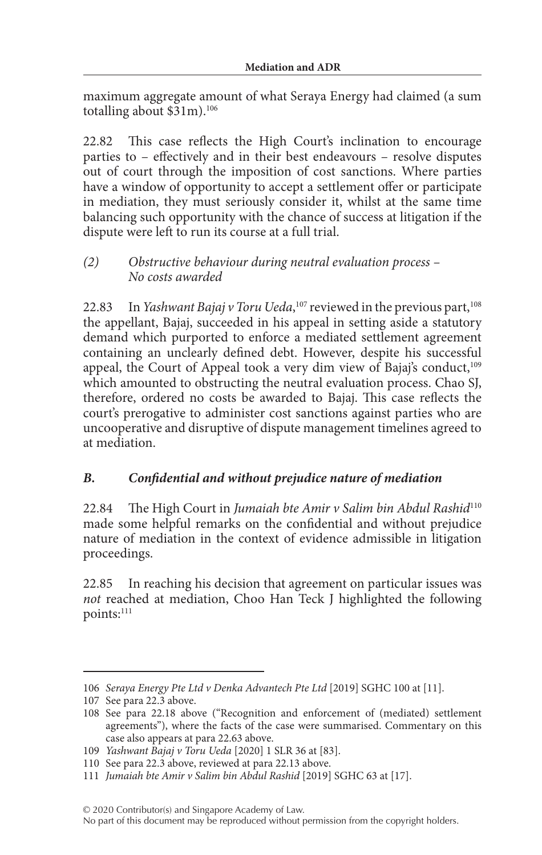maximum aggregate amount of what Seraya Energy had claimed (a sum totalling about \$31m).106

22.82 This case reflects the High Court's inclination to encourage parties to – effectively and in their best endeavours – resolve disputes out of court through the imposition of cost sanctions. Where parties have a window of opportunity to accept a settlement offer or participate in mediation, they must seriously consider it, whilst at the same time balancing such opportunity with the chance of success at litigation if the dispute were left to run its course at a full trial.

#### *(2) Obstructive behaviour during neutral evaluation process – No costs awarded*

22.83 In *Yashwant Bajaj v Toru Ueda*,<sup>107</sup> reviewed in the previous part,<sup>108</sup> the appellant, Bajaj, succeeded in his appeal in setting aside a statutory demand which purported to enforce a mediated settlement agreement containing an unclearly defined debt. However, despite his successful appeal, the Court of Appeal took a very dim view of Bajaj's conduct,<sup>109</sup> which amounted to obstructing the neutral evaluation process. Chao SJ, therefore, ordered no costs be awarded to Bajaj. This case reflects the court's prerogative to administer cost sanctions against parties who are uncooperative and disruptive of dispute management timelines agreed to at mediation.

### *B. Confidential and without prejudice nature of mediation*

22.84 The High Court in *Jumaiah bte Amir v Salim bin Abdul Rashid*<sup>110</sup> made some helpful remarks on the confidential and without prejudice nature of mediation in the context of evidence admissible in litigation proceedings.

22.85 In reaching his decision that agreement on particular issues was *not* reached at mediation, Choo Han Teck J highlighted the following points:<sup>111</sup>

© 2020 Contributor(s) and Singapore Academy of Law.

No part of this document may be reproduced without permission from the copyright holders.

<sup>106</sup> *Seraya Energy Pte Ltd v Denka Advantech Pte Ltd* [2019] SGHC 100 at [11].

<sup>107</sup> See para 22.3 above.

<sup>108</sup> See para 22.18 above ("Recognition and enforcement of (mediated) settlement agreements"), where the facts of the case were summarised. Commentary on this case also appears at para 22.63 above.

<sup>109</sup> *Yashwant Bajaj v Toru Ueda* [2020] 1 SLR 36 at [83].

<sup>110</sup> See para 22.3 above, reviewed at para 22.13 above.

<sup>111</sup> *Jumaiah bte Amir v Salim bin Abdul Rashid* [2019] SGHC 63 at [17].